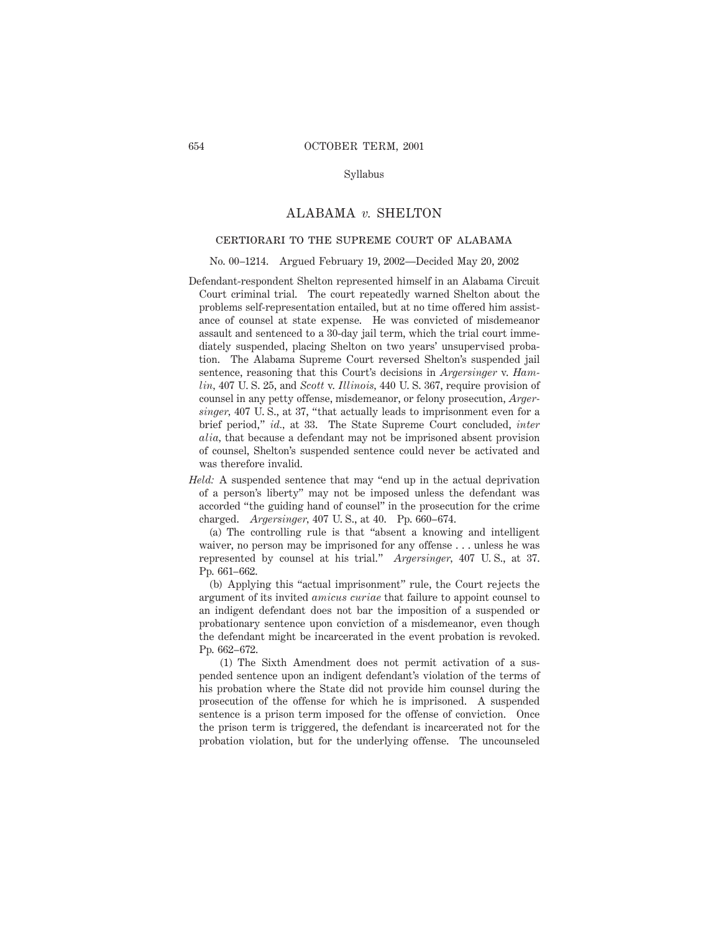### Syllabus

## ALABAMA *v.* SHELTON

# certiorari to the supreme court of alabama

#### No. 00–1214. Argued February 19, 2002—Decided May 20, 2002

- Defendant-respondent Shelton represented himself in an Alabama Circuit Court criminal trial. The court repeatedly warned Shelton about the problems self-representation entailed, but at no time offered him assistance of counsel at state expense. He was convicted of misdemeanor assault and sentenced to a 30-day jail term, which the trial court immediately suspended, placing Shelton on two years' unsupervised probation. The Alabama Supreme Court reversed Shelton's suspended jail sentence, reasoning that this Court's decisions in *Argersinger* v. *Hamlin,* 407 U. S. 25, and *Scott* v. *Illinois,* 440 U. S. 367, require provision of counsel in any petty offense, misdemeanor, or felony prosecution, *Argersinger,* 407 U. S., at 37, "that actually leads to imprisonment even for a brief period," *id.,* at 33. The State Supreme Court concluded, *inter alia,* that because a defendant may not be imprisoned absent provision of counsel, Shelton's suspended sentence could never be activated and was therefore invalid.
- *Held:* A suspended sentence that may "end up in the actual deprivation of a person's liberty" may not be imposed unless the defendant was accorded "the guiding hand of counsel" in the prosecution for the crime charged. *Argersinger,* 407 U. S., at 40. Pp. 660–674.

(a) The controlling rule is that "absent a knowing and intelligent waiver, no person may be imprisoned for any offense... unless he was represented by counsel at his trial." *Argersinger,* 407 U. S., at 37. Pp. 661–662.

(b) Applying this "actual imprisonment" rule, the Court rejects the argument of its invited *amicus curiae* that failure to appoint counsel to an indigent defendant does not bar the imposition of a suspended or probationary sentence upon conviction of a misdemeanor, even though the defendant might be incarcerated in the event probation is revoked. Pp. 662–672.

(1) The Sixth Amendment does not permit activation of a suspended sentence upon an indigent defendant's violation of the terms of his probation where the State did not provide him counsel during the prosecution of the offense for which he is imprisoned. A suspended sentence is a prison term imposed for the offense of conviction. Once the prison term is triggered, the defendant is incarcerated not for the probation violation, but for the underlying offense. The uncounseled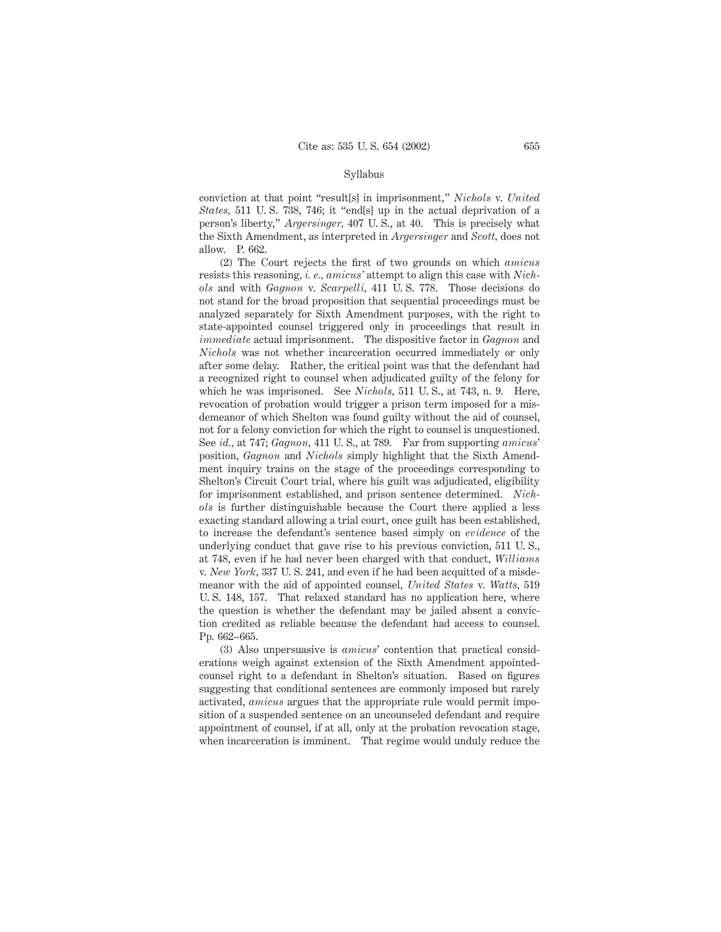#### Syllabus

conviction at that point "result[s] in imprisonment," *Nichols* v. *United States,* 511 U. S. 738, 746; it "end[s] up in the actual deprivation of a person's liberty," *Argersinger,* 407 U. S., at 40. This is precisely what the Sixth Amendment, as interpreted in *Argersinger* and *Scott,* does not allow. P. 662.

(2) The Court rejects the first of two grounds on which *amicus* resists this reasoning, *i. e., amicus'* attempt to align this case with *Nichols* and with *Gagnon* v. *Scarpelli,* 411 U. S. 778. Those decisions do not stand for the broad proposition that sequential proceedings must be analyzed separately for Sixth Amendment purposes, with the right to state-appointed counsel triggered only in proceedings that result in *immediate* actual imprisonment. The dispositive factor in *Gagnon* and *Nichols* was not whether incarceration occurred immediately or only after some delay. Rather, the critical point was that the defendant had a recognized right to counsel when adjudicated guilty of the felony for which he was imprisoned. See *Nichols,* 511 U. S., at 743, n. 9. Here, revocation of probation would trigger a prison term imposed for a misdemeanor of which Shelton was found guilty without the aid of counsel, not for a felony conviction for which the right to counsel is unquestioned. See *id.,* at 747; *Gagnon,* 411 U. S., at 789. Far from supporting *amicus*' position, *Gagnon* and *Nichols* simply highlight that the Sixth Amendment inquiry trains on the stage of the proceedings corresponding to Shelton's Circuit Court trial, where his guilt was adjudicated, eligibility for imprisonment established, and prison sentence determined. *Nichols* is further distinguishable because the Court there applied a less exacting standard allowing a trial court, once guilt has been established, to increase the defendant's sentence based simply on *evidence* of the underlying conduct that gave rise to his previous conviction, 511 U. S., at 748, even if he had never been charged with that conduct, *Williams* v. *New York,* 337 U. S. 241, and even if he had been acquitted of a misdemeanor with the aid of appointed counsel, *United States* v. *Watts,* 519 U. S. 148, 157. That relaxed standard has no application here, where the question is whether the defendant may be jailed absent a conviction credited as reliable because the defendant had access to counsel. Pp. 662–665.

(3) Also unpersuasive is *amicus*' contention that practical considerations weigh against extension of the Sixth Amendment appointedcounsel right to a defendant in Shelton's situation. Based on figures suggesting that conditional sentences are commonly imposed but rarely activated, *amicus* argues that the appropriate rule would permit imposition of a suspended sentence on an uncounseled defendant and require appointment of counsel, if at all, only at the probation revocation stage, when incarceration is imminent. That regime would unduly reduce the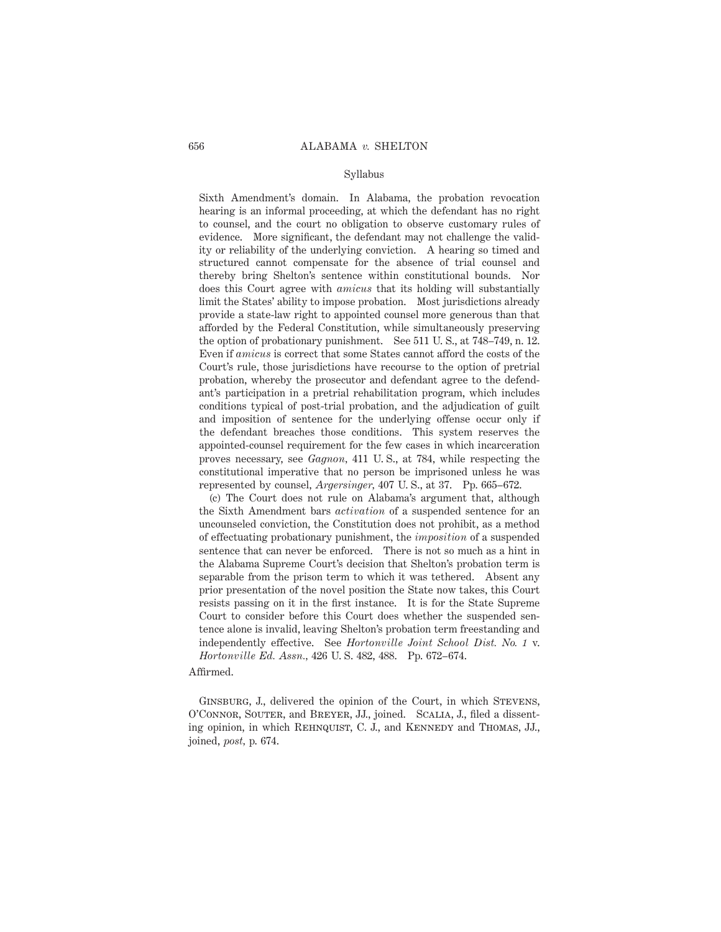#### Syllabus

Sixth Amendment's domain. In Alabama, the probation revocation hearing is an informal proceeding, at which the defendant has no right to counsel, and the court no obligation to observe customary rules of evidence. More significant, the defendant may not challenge the validity or reliability of the underlying conviction. A hearing so timed and structured cannot compensate for the absence of trial counsel and thereby bring Shelton's sentence within constitutional bounds. Nor does this Court agree with *amicus* that its holding will substantially limit the States' ability to impose probation. Most jurisdictions already provide a state-law right to appointed counsel more generous than that afforded by the Federal Constitution, while simultaneously preserving the option of probationary punishment. See 511 U. S., at 748–749, n. 12. Even if *amicus* is correct that some States cannot afford the costs of the Court's rule, those jurisdictions have recourse to the option of pretrial probation, whereby the prosecutor and defendant agree to the defendant's participation in a pretrial rehabilitation program, which includes conditions typical of post-trial probation, and the adjudication of guilt and imposition of sentence for the underlying offense occur only if the defendant breaches those conditions. This system reserves the appointed-counsel requirement for the few cases in which incarceration proves necessary, see *Gagnon,* 411 U. S., at 784, while respecting the constitutional imperative that no person be imprisoned unless he was represented by counsel, *Argersinger,* 407 U. S., at 37. Pp. 665–672.

(c) The Court does not rule on Alabama's argument that, although the Sixth Amendment bars *activation* of a suspended sentence for an uncounseled conviction, the Constitution does not prohibit, as a method of effectuating probationary punishment, the *imposition* of a suspended sentence that can never be enforced. There is not so much as a hint in the Alabama Supreme Court's decision that Shelton's probation term is separable from the prison term to which it was tethered. Absent any prior presentation of the novel position the State now takes, this Court resists passing on it in the first instance. It is for the State Supreme Court to consider before this Court does whether the suspended sentence alone is invalid, leaving Shelton's probation term freestanding and independently effective. See *Hortonville Joint School Dist. No. 1* v. *Hortonville Ed. Assn.,* 426 U. S. 482, 488. Pp. 672–674.

#### Affirmed.

GINSBURG, J., delivered the opinion of the Court, in which STEVENS, O'Connor, Souter, and Breyer, JJ., joined. Scalia, J., filed a dissenting opinion, in which REHNQUIST, C. J., and KENNEDY and THOMAS, JJ., joined, *post,* p. 674.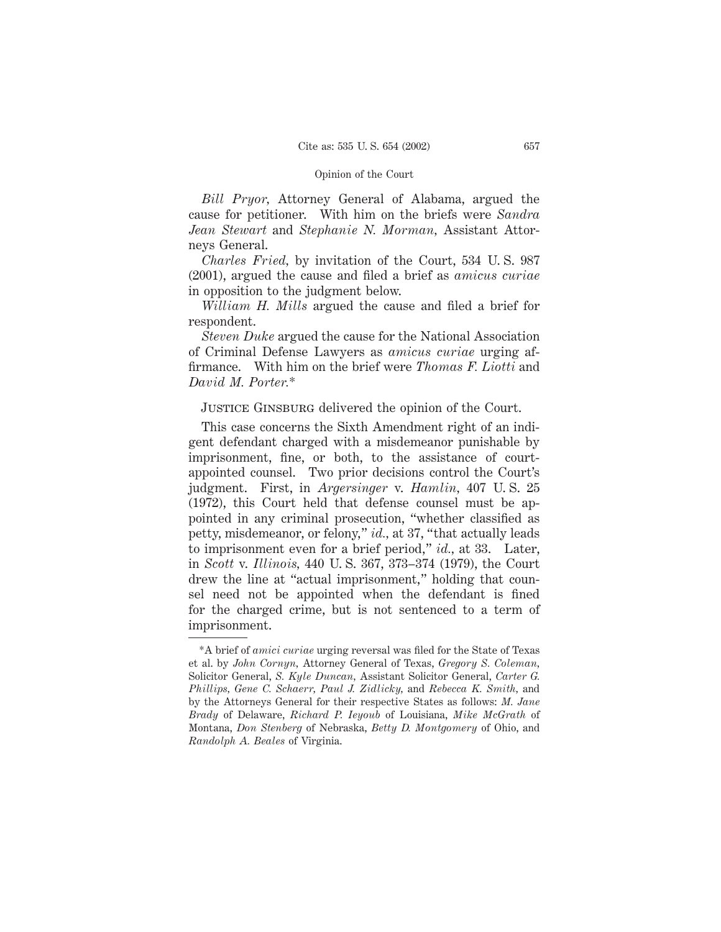*Bill Pryor,* Attorney General of Alabama, argued the cause for petitioner. With him on the briefs were *Sandra Jean Stewart* and *Stephanie N. Morman,* Assistant Attorneys General.

*Charles Fried,* by invitation of the Court, 534 U. S. 987 (2001), argued the cause and filed a brief as *amicus curiae* in opposition to the judgment below.

*William H. Mills* argued the cause and filed a brief for respondent.

*Steven Duke* argued the cause for the National Association of Criminal Defense Lawyers as *amicus curiae* urging affirmance. With him on the brief were *Thomas F. Liotti* and *David M. Porter.*\*

# JUSTICE GINSBURG delivered the opinion of the Court.

This case concerns the Sixth Amendment right of an indigent defendant charged with a misdemeanor punishable by imprisonment, fine, or both, to the assistance of courtappointed counsel. Two prior decisions control the Court's judgment. First, in *Argersinger* v. *Hamlin,* 407 U. S. 25 (1972), this Court held that defense counsel must be appointed in any criminal prosecution, "whether classified as petty, misdemeanor, or felony," *id.,* at 37, "that actually leads to imprisonment even for a brief period," *id.,* at 33. Later, in *Scott* v. *Illinois,* 440 U. S. 367, 373–374 (1979), the Court drew the line at "actual imprisonment," holding that counsel need not be appointed when the defendant is fined for the charged crime, but is not sentenced to a term of imprisonment.

<sup>\*</sup>A brief of *amici curiae* urging reversal was filed for the State of Texas et al. by *John Cornyn,* Attorney General of Texas, *Gregory S. Coleman,* Solicitor General, *S. Kyle Duncan,* Assistant Solicitor General, *Carter G. Phillips, Gene C. Schaerr, Paul J. Zidlicky,* and *Rebecca K. Smith,* and by the Attorneys General for their respective States as follows: *M. Jane Brady* of Delaware, *Richard P. Ieyoub* of Louisiana, *Mike McGrath* of Montana, *Don Stenberg* of Nebraska, *Betty D. Montgomery* of Ohio, and *Randolph A. Beales* of Virginia.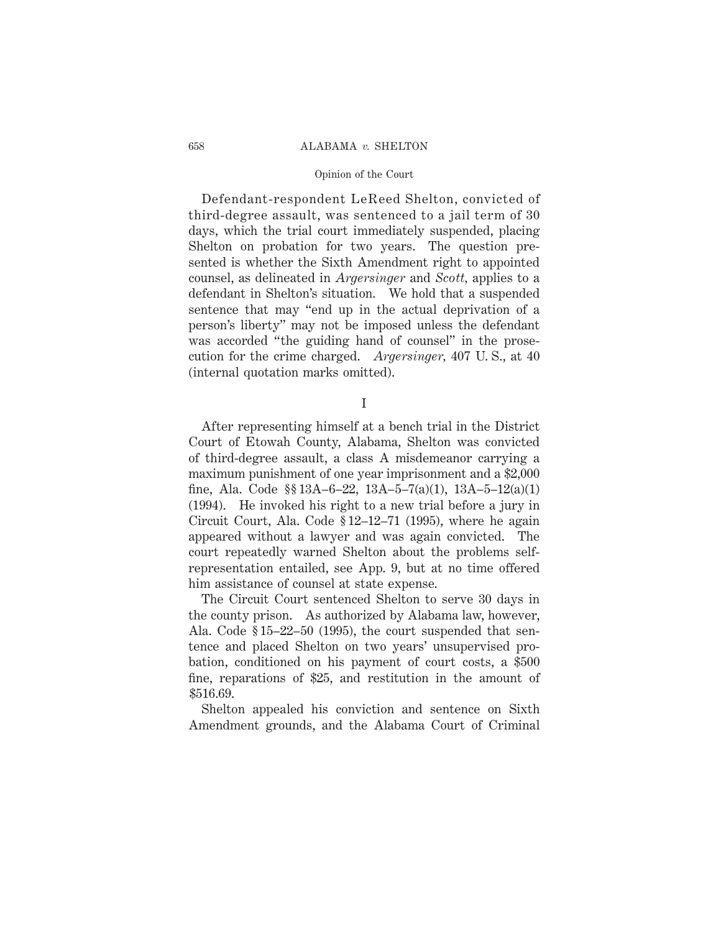### 658 ALABAMA *v.* SHELTON

### Opinion of the Court

Defendant-respondent LeReed Shelton, convicted of third-degree assault, was sentenced to a jail term of 30 days, which the trial court immediately suspended, placing Shelton on probation for two years. The question presented is whether the Sixth Amendment right to appointed counsel, as delineated in *Argersinger* and *Scott,* applies to a defendant in Shelton's situation. We hold that a suspended sentence that may "end up in the actual deprivation of a person's liberty" may not be imposed unless the defendant was accorded "the guiding hand of counsel" in the prosecution for the crime charged. *Argersinger,* 407 U. S., at 40 (internal quotation marks omitted).

I

After representing himself at a bench trial in the District Court of Etowah County, Alabama, Shelton was convicted of third-degree assault, a class A misdemeanor carrying a maximum punishment of one year imprisonment and a \$2,000 fine, Ala. Code  $\S 13A-6-22$ ,  $13A-5-7(a)(1)$ ,  $13A-5-12(a)(1)$ (1994). He invoked his right to a new trial before a jury in Circuit Court, Ala. Code § 12–12–71 (1995), where he again appeared without a lawyer and was again convicted. The court repeatedly warned Shelton about the problems selfrepresentation entailed, see App. 9, but at no time offered him assistance of counsel at state expense.

The Circuit Court sentenced Shelton to serve 30 days in the county prison. As authorized by Alabama law, however, Ala. Code § 15–22–50 (1995), the court suspended that sentence and placed Shelton on two years' unsupervised probation, conditioned on his payment of court costs, a \$500 fine, reparations of \$25, and restitution in the amount of \$516.69.

Shelton appealed his conviction and sentence on Sixth Amendment grounds, and the Alabama Court of Criminal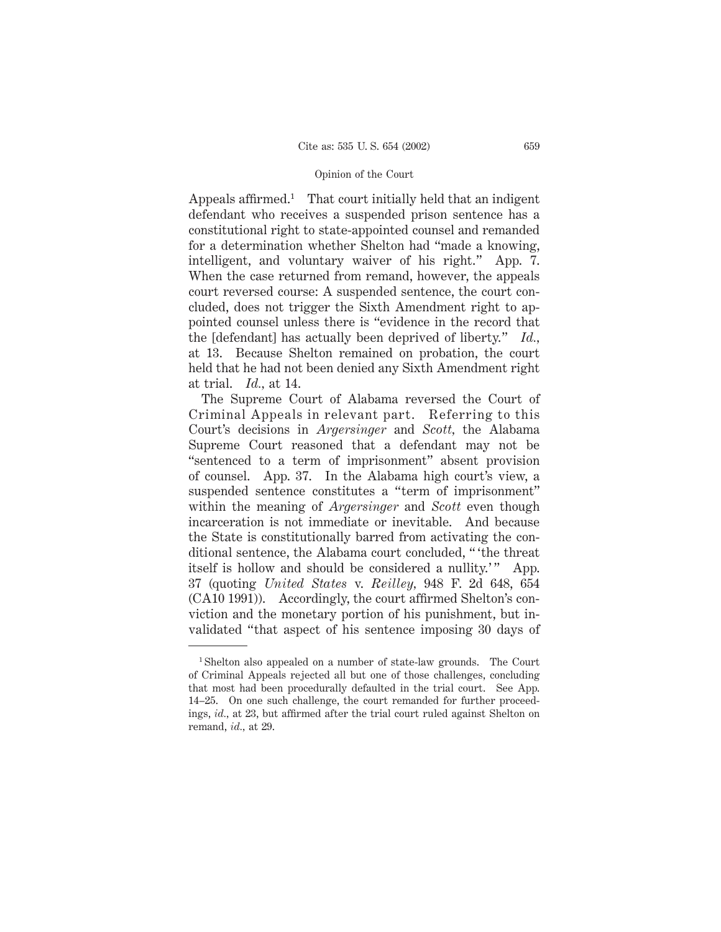Appeals affirmed.<sup>1</sup> That court initially held that an indigent defendant who receives a suspended prison sentence has a constitutional right to state-appointed counsel and remanded for a determination whether Shelton had "made a knowing, intelligent, and voluntary waiver of his right." App. 7. When the case returned from remand, however, the appeals court reversed course: A suspended sentence, the court concluded, does not trigger the Sixth Amendment right to appointed counsel unless there is "evidence in the record that the [defendant] has actually been deprived of liberty." *Id.,* at 13. Because Shelton remained on probation, the court held that he had not been denied any Sixth Amendment right at trial. *Id.,* at 14.

The Supreme Court of Alabama reversed the Court of Criminal Appeals in relevant part. Referring to this Court's decisions in *Argersinger* and *Scott,* the Alabama Supreme Court reasoned that a defendant may not be "sentenced to a term of imprisonment" absent provision of counsel. App. 37. In the Alabama high court's view, a suspended sentence constitutes a "term of imprisonment" within the meaning of *Argersinger* and *Scott* even though incarceration is not immediate or inevitable. And because the State is constitutionally barred from activating the conditional sentence, the Alabama court concluded, " 'the threat itself is hollow and should be considered a nullity.'" App. 37 (quoting *United States* v. *Reilley,* 948 F. 2d 648, 654 (CA10 1991)). Accordingly, the court affirmed Shelton's conviction and the monetary portion of his punishment, but invalidated "that aspect of his sentence imposing 30 days of

<sup>1</sup> Shelton also appealed on a number of state-law grounds. The Court of Criminal Appeals rejected all but one of those challenges, concluding that most had been procedurally defaulted in the trial court. See App. 14–25. On one such challenge, the court remanded for further proceedings, *id.,* at 23, but affirmed after the trial court ruled against Shelton on remand, *id.,* at 29.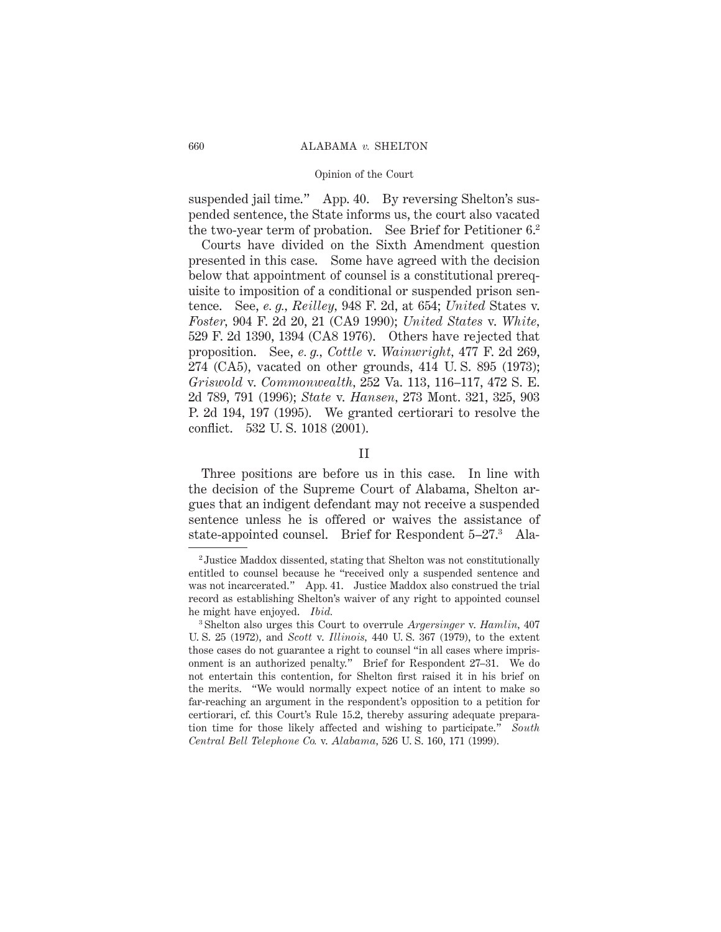suspended jail time." App. 40. By reversing Shelton's suspended sentence, the State informs us, the court also vacated the two-year term of probation. See Brief for Petitioner 6.2

Courts have divided on the Sixth Amendment question presented in this case. Some have agreed with the decision below that appointment of counsel is a constitutional prerequisite to imposition of a conditional or suspended prison sentence. See, *e. g., Reilley,* 948 F. 2d, at 654; *United* States v. *Foster,* 904 F. 2d 20, 21 (CA9 1990); *United States* v. *White,* 529 F. 2d 1390, 1394 (CA8 1976). Others have rejected that proposition. See, *e. g., Cottle* v. *Wainwright,* 477 F. 2d 269, 274 (CA5), vacated on other grounds, 414 U. S. 895 (1973); *Griswold* v. *Commonwealth,* 252 Va. 113, 116–117, 472 S. E. 2d 789, 791 (1996); *State* v. *Hansen,* 273 Mont. 321, 325, 903 P. 2d 194, 197 (1995). We granted certiorari to resolve the conflict. 532 U. S. 1018 (2001).

### II

Three positions are before us in this case. In line with the decision of the Supreme Court of Alabama, Shelton argues that an indigent defendant may not receive a suspended sentence unless he is offered or waives the assistance of state-appointed counsel. Brief for Respondent 5–27.3 Ala-

<sup>2</sup> Justice Maddox dissented, stating that Shelton was not constitutionally entitled to counsel because he "received only a suspended sentence and was not incarcerated." App. 41. Justice Maddox also construed the trial record as establishing Shelton's waiver of any right to appointed counsel he might have enjoyed. *Ibid.*

<sup>3</sup> Shelton also urges this Court to overrule *Argersinger* v. *Hamlin,* 407 U. S. 25 (1972), and *Scott* v. *Illinois,* 440 U. S. 367 (1979), to the extent those cases do not guarantee a right to counsel "in all cases where imprisonment is an authorized penalty." Brief for Respondent 27–31. We do not entertain this contention, for Shelton first raised it in his brief on the merits. "We would normally expect notice of an intent to make so far-reaching an argument in the respondent's opposition to a petition for certiorari, cf. this Court's Rule 15.2, thereby assuring adequate preparation time for those likely affected and wishing to participate." *South Central Bell Telephone Co.* v. *Alabama,* 526 U. S. 160, 171 (1999).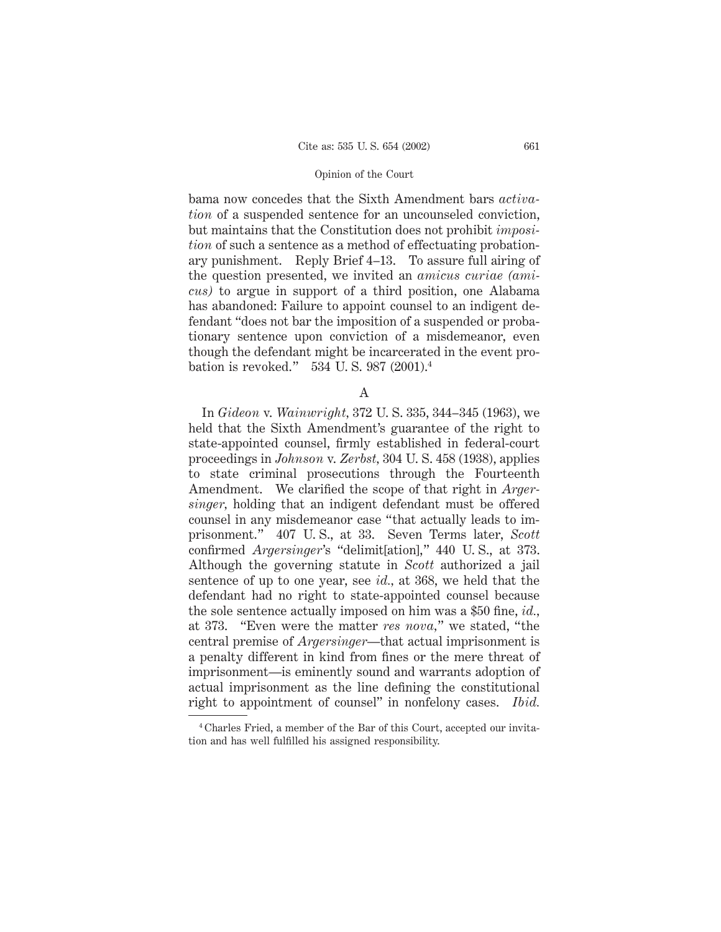bama now concedes that the Sixth Amendment bars *activation* of a suspended sentence for an uncounseled conviction, but maintains that the Constitution does not prohibit *imposition* of such a sentence as a method of effectuating probationary punishment. Reply Brief 4–13. To assure full airing of the question presented, we invited an *amicus curiae (amicus)* to argue in support of a third position, one Alabama has abandoned: Failure to appoint counsel to an indigent defendant "does not bar the imposition of a suspended or probationary sentence upon conviction of a misdemeanor, even though the defendant might be incarcerated in the event probation is revoked." 534 U. S. 987 (2001).4

A

In *Gideon* v. *Wainwright,* 372 U. S. 335, 344–345 (1963), we held that the Sixth Amendment's guarantee of the right to state-appointed counsel, firmly established in federal-court proceedings in *Johnson* v. *Zerbst,* 304 U. S. 458 (1938), applies to state criminal prosecutions through the Fourteenth Amendment. We clarified the scope of that right in *Argersinger,* holding that an indigent defendant must be offered counsel in any misdemeanor case "that actually leads to imprisonment." 407 U. S., at 33. Seven Terms later, *Scott* confirmed *Argersinger*'s "delimit[ation]," 440 U. S., at 373. Although the governing statute in *Scott* authorized a jail sentence of up to one year, see *id.,* at 368, we held that the defendant had no right to state-appointed counsel because the sole sentence actually imposed on him was a \$50 fine, *id.,* at 373. "Even were the matter *res nova,*" we stated, "the central premise of *Argersinger*—that actual imprisonment is a penalty different in kind from fines or the mere threat of imprisonment—is eminently sound and warrants adoption of actual imprisonment as the line defining the constitutional right to appointment of counsel" in nonfelony cases. *Ibid.*

<sup>4</sup> Charles Fried, a member of the Bar of this Court, accepted our invitation and has well fulfilled his assigned responsibility.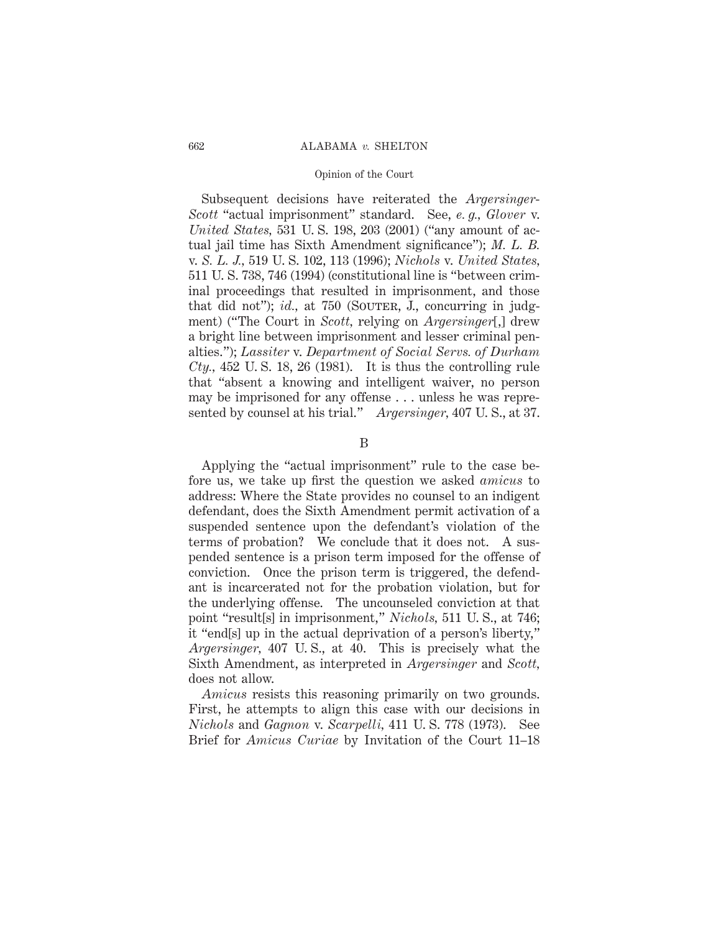Subsequent decisions have reiterated the *Argersinger*-*Scott* "actual imprisonment" standard. See, *e. g., Glover* v. *United States,* 531 U. S. 198, 203 (2001) ("any amount of actual jail time has Sixth Amendment significance"); *M. L. B.* v. *S. L. J.,* 519 U. S. 102, 113 (1996); *Nichols* v. *United States,* 511 U. S. 738, 746 (1994) (constitutional line is "between criminal proceedings that resulted in imprisonment, and those that did not"); *id.*, at 750 (SOUTER, J., concurring in judgment) ("The Court in *Scott,* relying on *Argersinger*[,] drew a bright line between imprisonment and lesser criminal penalties."); *Lassiter* v. *Department of Social Servs. of Durham Cty.,* 452 U. S. 18, 26 (1981). It is thus the controlling rule that "absent a knowing and intelligent waiver, no person may be imprisoned for any offense . . . unless he was represented by counsel at his trial." *Argersinger,* 407 U. S., at 37.

B

Applying the "actual imprisonment" rule to the case before us, we take up first the question we asked *amicus* to address: Where the State provides no counsel to an indigent defendant, does the Sixth Amendment permit activation of a suspended sentence upon the defendant's violation of the terms of probation? We conclude that it does not. A suspended sentence is a prison term imposed for the offense of conviction. Once the prison term is triggered, the defendant is incarcerated not for the probation violation, but for the underlying offense. The uncounseled conviction at that point "result[s] in imprisonment," *Nichols,* 511 U. S., at 746; it "end[s] up in the actual deprivation of a person's liberty," *Argersinger,* 407 U. S., at 40. This is precisely what the Sixth Amendment, as interpreted in *Argersinger* and *Scott,* does not allow.

*Amicus* resists this reasoning primarily on two grounds. First, he attempts to align this case with our decisions in *Nichols* and *Gagnon* v. *Scarpelli,* 411 U. S. 778 (1973). See Brief for *Amicus Curiae* by Invitation of the Court 11–18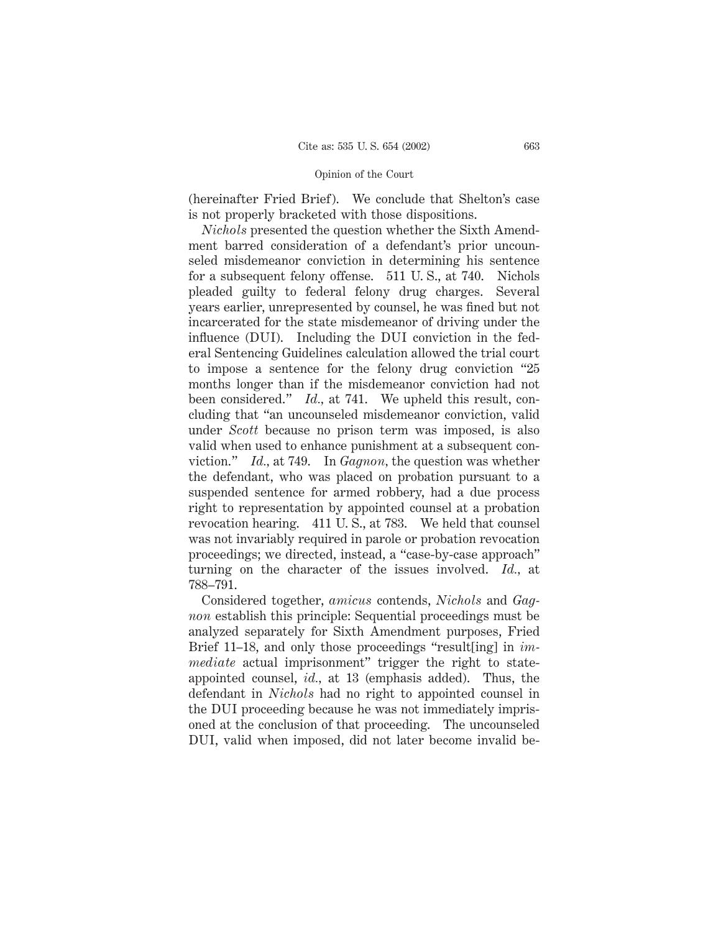(hereinafter Fried Brief). We conclude that Shelton's case is not properly bracketed with those dispositions.

*Nichols* presented the question whether the Sixth Amendment barred consideration of a defendant's prior uncounseled misdemeanor conviction in determining his sentence for a subsequent felony offense. 511 U. S., at 740. Nichols pleaded guilty to federal felony drug charges. Several years earlier, unrepresented by counsel, he was fined but not incarcerated for the state misdemeanor of driving under the influence (DUI). Including the DUI conviction in the federal Sentencing Guidelines calculation allowed the trial court to impose a sentence for the felony drug conviction "25 months longer than if the misdemeanor conviction had not been considered." *Id.,* at 741. We upheld this result, concluding that "an uncounseled misdemeanor conviction, valid under *Scott* because no prison term was imposed, is also valid when used to enhance punishment at a subsequent conviction." *Id.,* at 749. In *Gagnon,* the question was whether the defendant, who was placed on probation pursuant to a suspended sentence for armed robbery, had a due process right to representation by appointed counsel at a probation revocation hearing. 411 U. S., at 783. We held that counsel was not invariably required in parole or probation revocation proceedings; we directed, instead, a "case-by-case approach" turning on the character of the issues involved. *Id.,* at 788–791.

Considered together, *amicus* contends, *Nichols* and *Gagnon* establish this principle: Sequential proceedings must be analyzed separately for Sixth Amendment purposes, Fried Brief 11–18, and only those proceedings "result[ing] in *immediate* actual imprisonment" trigger the right to stateappointed counsel, *id.,* at 13 (emphasis added). Thus, the defendant in *Nichols* had no right to appointed counsel in the DUI proceeding because he was not immediately imprisoned at the conclusion of that proceeding. The uncounseled DUI, valid when imposed, did not later become invalid be-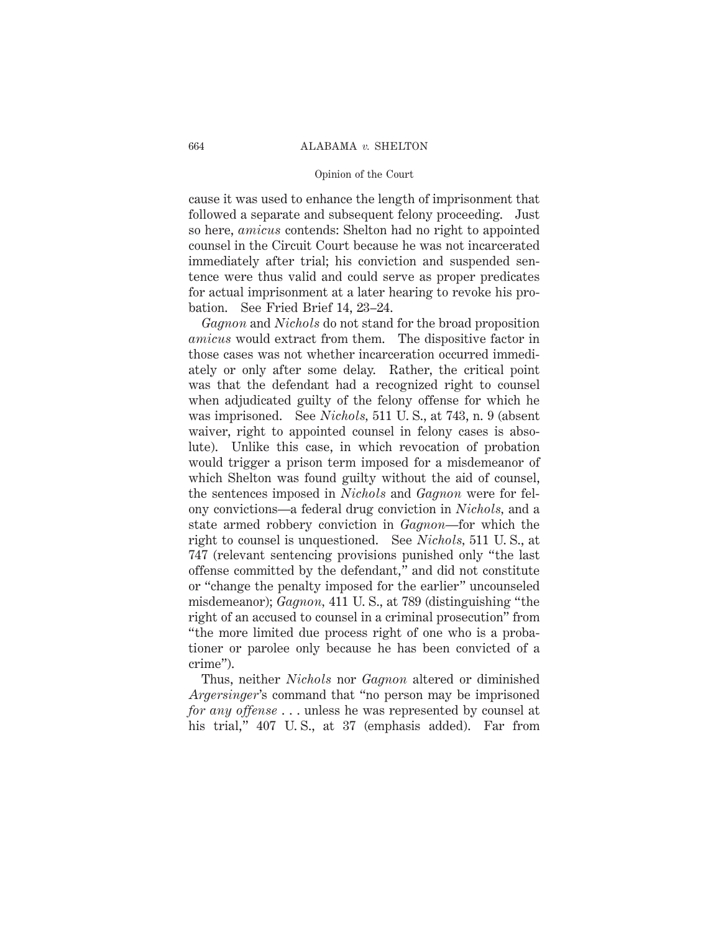cause it was used to enhance the length of imprisonment that followed a separate and subsequent felony proceeding. Just so here, *amicus* contends: Shelton had no right to appointed counsel in the Circuit Court because he was not incarcerated immediately after trial; his conviction and suspended sentence were thus valid and could serve as proper predicates for actual imprisonment at a later hearing to revoke his probation. See Fried Brief 14, 23–24.

*Gagnon* and *Nichols* do not stand for the broad proposition *amicus* would extract from them. The dispositive factor in those cases was not whether incarceration occurred immediately or only after some delay. Rather, the critical point was that the defendant had a recognized right to counsel when adjudicated guilty of the felony offense for which he was imprisoned. See *Nichols,* 511 U. S., at 743, n. 9 (absent waiver, right to appointed counsel in felony cases is absolute). Unlike this case, in which revocation of probation would trigger a prison term imposed for a misdemeanor of which Shelton was found guilty without the aid of counsel, the sentences imposed in *Nichols* and *Gagnon* were for felony convictions—a federal drug conviction in *Nichols,* and a state armed robbery conviction in *Gagnon*—for which the right to counsel is unquestioned. See *Nichols,* 511 U. S., at 747 (relevant sentencing provisions punished only "the last offense committed by the defendant," and did not constitute or "change the penalty imposed for the earlier" uncounseled misdemeanor); *Gagnon,* 411 U. S., at 789 (distinguishing "the right of an accused to counsel in a criminal prosecution" from "the more limited due process right of one who is a probationer or parolee only because he has been convicted of a crime").

Thus, neither *Nichols* nor *Gagnon* altered or diminished *Argersinger*'s command that "no person may be imprisoned *for any offense* . . . unless he was represented by counsel at his trial," 407 U.S., at 37 (emphasis added). Far from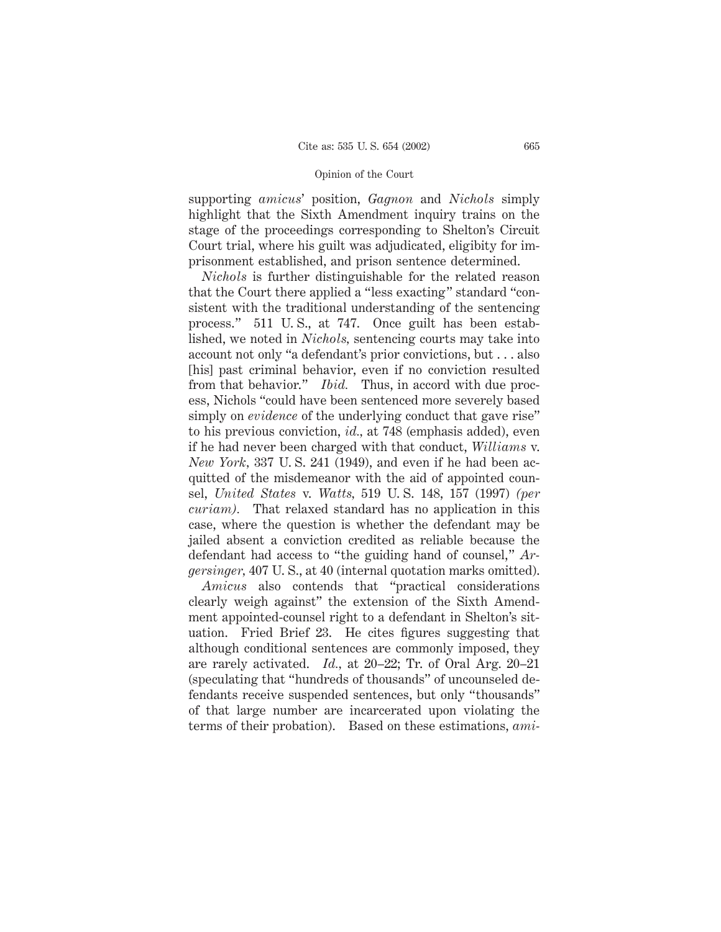supporting *amicus*' position, *Gagnon* and *Nichols* simply highlight that the Sixth Amendment inquiry trains on the stage of the proceedings corresponding to Shelton's Circuit Court trial, where his guilt was adjudicated, eligibity for imprisonment established, and prison sentence determined.

*Nichols* is further distinguishable for the related reason that the Court there applied a "less exacting" standard "consistent with the traditional understanding of the sentencing process." 511 U. S., at 747. Once guilt has been established, we noted in *Nichols,* sentencing courts may take into account not only "a defendant's prior convictions, but . . . also [his] past criminal behavior, even if no conviction resulted from that behavior." *Ibid.* Thus, in accord with due process, Nichols "could have been sentenced more severely based simply on *evidence* of the underlying conduct that gave rise" to his previous conviction, *id.,* at 748 (emphasis added), even if he had never been charged with that conduct, *Williams* v. *New York,* 337 U. S. 241 (1949), and even if he had been acquitted of the misdemeanor with the aid of appointed counsel, *United States* v. *Watts,* 519 U. S. 148, 157 (1997) *(per curiam).* That relaxed standard has no application in this case, where the question is whether the defendant may be jailed absent a conviction credited as reliable because the defendant had access to "the guiding hand of counsel," *Argersinger,* 407 U. S., at 40 (internal quotation marks omitted).

*Amicus* also contends that "practical considerations clearly weigh against" the extension of the Sixth Amendment appointed-counsel right to a defendant in Shelton's situation. Fried Brief 23. He cites figures suggesting that although conditional sentences are commonly imposed, they are rarely activated. *Id.,* at 20–22; Tr. of Oral Arg. 20–21 (speculating that "hundreds of thousands" of uncounseled defendants receive suspended sentences, but only "thousands" of that large number are incarcerated upon violating the terms of their probation). Based on these estimations, *ami-*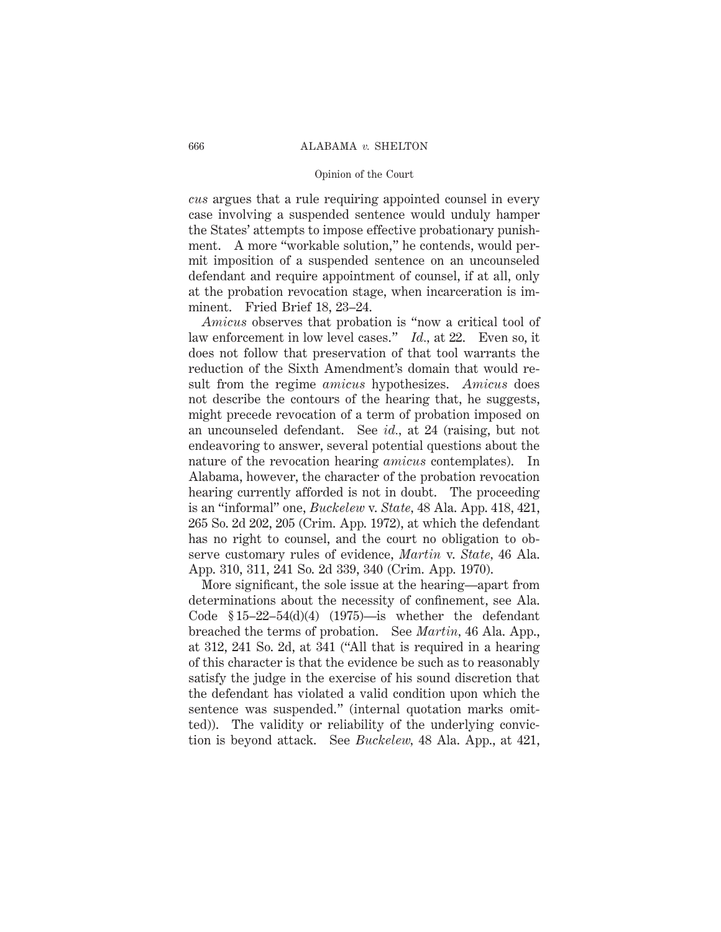### 666 ALABAMA *v.* SHELTON

#### Opinion of the Court

*cus* argues that a rule requiring appointed counsel in every case involving a suspended sentence would unduly hamper the States' attempts to impose effective probationary punishment. A more "workable solution," he contends, would permit imposition of a suspended sentence on an uncounseled defendant and require appointment of counsel, if at all, only at the probation revocation stage, when incarceration is imminent. Fried Brief 18, 23–24.

*Amicus* observes that probation is "now a critical tool of law enforcement in low level cases." *Id.,* at 22. Even so, it does not follow that preservation of that tool warrants the reduction of the Sixth Amendment's domain that would result from the regime *amicus* hypothesizes. *Amicus* does not describe the contours of the hearing that, he suggests, might precede revocation of a term of probation imposed on an uncounseled defendant. See *id.,* at 24 (raising, but not endeavoring to answer, several potential questions about the nature of the revocation hearing *amicus* contemplates). In Alabama, however, the character of the probation revocation hearing currently afforded is not in doubt. The proceeding is an "informal" one, *Buckelew* v. *State,* 48 Ala. App. 418, 421, 265 So. 2d 202, 205 (Crim. App. 1972), at which the defendant has no right to counsel, and the court no obligation to observe customary rules of evidence, *Martin* v. *State,* 46 Ala. App. 310, 311, 241 So. 2d 339, 340 (Crim. App. 1970).

More significant, the sole issue at the hearing—apart from determinations about the necessity of confinement, see Ala. Code  $$15-22-54(d)(4)$  (1975)—is whether the defendant breached the terms of probation. See *Martin,* 46 Ala. App., at 312, 241 So. 2d, at 341 ("All that is required in a hearing of this character is that the evidence be such as to reasonably satisfy the judge in the exercise of his sound discretion that the defendant has violated a valid condition upon which the sentence was suspended." (internal quotation marks omitted)). The validity or reliability of the underlying conviction is beyond attack. See *Buckelew,* 48 Ala. App., at 421,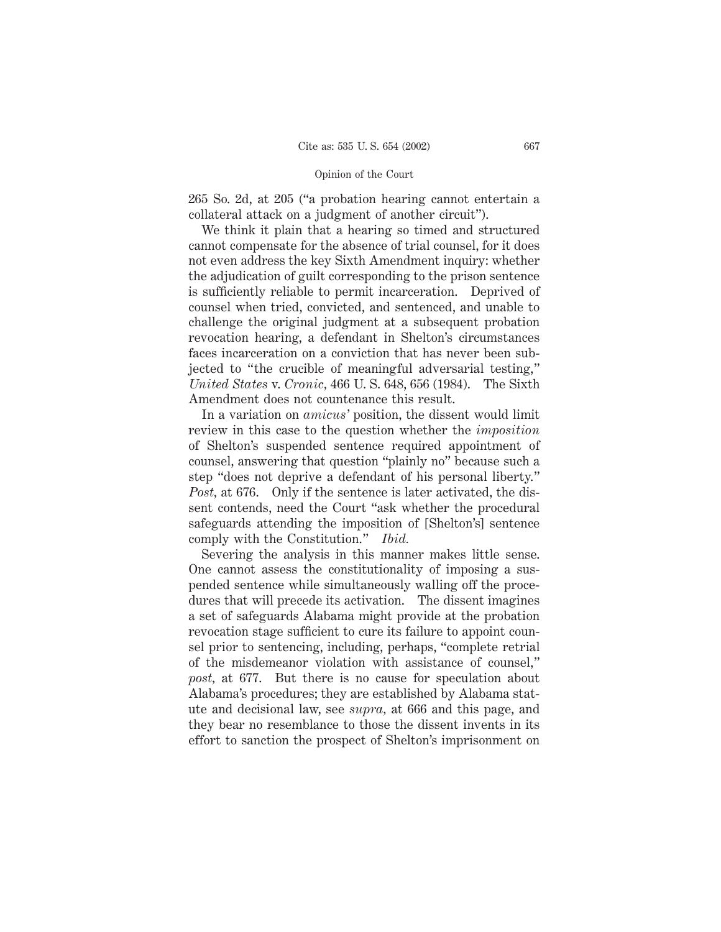265 So. 2d, at 205 ("a probation hearing cannot entertain a collateral attack on a judgment of another circuit").

We think it plain that a hearing so timed and structured cannot compensate for the absence of trial counsel, for it does not even address the key Sixth Amendment inquiry: whether the adjudication of guilt corresponding to the prison sentence is sufficiently reliable to permit incarceration. Deprived of counsel when tried, convicted, and sentenced, and unable to challenge the original judgment at a subsequent probation revocation hearing, a defendant in Shelton's circumstances faces incarceration on a conviction that has never been subjected to "the crucible of meaningful adversarial testing," *United States* v. *Cronic,* 466 U. S. 648, 656 (1984). The Sixth Amendment does not countenance this result.

In a variation on *amicus'* position, the dissent would limit review in this case to the question whether the *imposition* of Shelton's suspended sentence required appointment of counsel, answering that question "plainly no" because such a step "does not deprive a defendant of his personal liberty." *Post,* at 676. Only if the sentence is later activated, the dissent contends, need the Court "ask whether the procedural safeguards attending the imposition of [Shelton's] sentence comply with the Constitution." *Ibid.*

Severing the analysis in this manner makes little sense. One cannot assess the constitutionality of imposing a suspended sentence while simultaneously walling off the procedures that will precede its activation. The dissent imagines a set of safeguards Alabama might provide at the probation revocation stage sufficient to cure its failure to appoint counsel prior to sentencing, including, perhaps, "complete retrial of the misdemeanor violation with assistance of counsel," *post,* at 677. But there is no cause for speculation about Alabama's procedures; they are established by Alabama statute and decisional law, see *supra,* at 666 and this page, and they bear no resemblance to those the dissent invents in its effort to sanction the prospect of Shelton's imprisonment on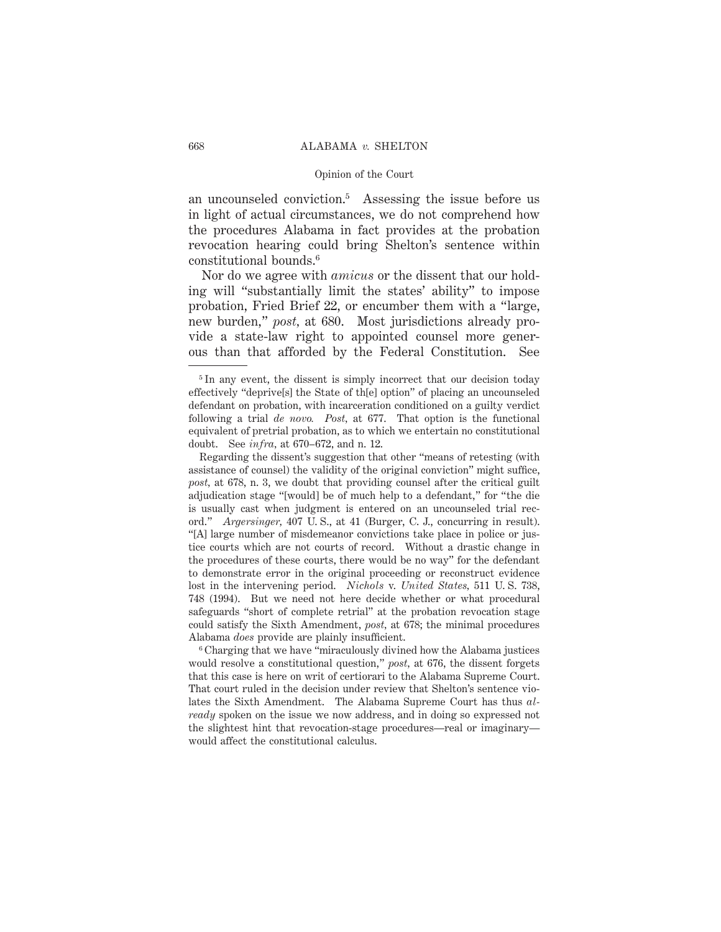an uncounseled conviction.5 Assessing the issue before us in light of actual circumstances, we do not comprehend how the procedures Alabama in fact provides at the probation revocation hearing could bring Shelton's sentence within constitutional bounds.6

Nor do we agree with *amicus* or the dissent that our holding will "substantially limit the states' ability" to impose probation, Fried Brief 22, or encumber them with a "large, new burden," *post,* at 680. Most jurisdictions already provide a state-law right to appointed counsel more generous than that afforded by the Federal Constitution. See

<sup>6</sup> Charging that we have "miraculously divined how the Alabama justices would resolve a constitutional question," *post,* at 676, the dissent forgets that this case is here on writ of certiorari to the Alabama Supreme Court. That court ruled in the decision under review that Shelton's sentence violates the Sixth Amendment. The Alabama Supreme Court has thus *already* spoken on the issue we now address, and in doing so expressed not the slightest hint that revocation-stage procedures—real or imaginary would affect the constitutional calculus.

<sup>&</sup>lt;sup>5</sup>In any event, the dissent is simply incorrect that our decision today effectively "deprive[s] the State of th[e] option" of placing an uncounseled defendant on probation, with incarceration conditioned on a guilty verdict following a trial *de novo. Post,* at 677. That option is the functional equivalent of pretrial probation, as to which we entertain no constitutional doubt. See *infra,* at 670–672, and n. 12.

Regarding the dissent's suggestion that other "means of retesting (with assistance of counsel) the validity of the original conviction" might suffice, *post,* at 678, n. 3, we doubt that providing counsel after the critical guilt adjudication stage "[would] be of much help to a defendant," for "the die is usually cast when judgment is entered on an uncounseled trial record." *Argersinger,* 407 U. S., at 41 (Burger, C. J., concurring in result). "[A] large number of misdemeanor convictions take place in police or justice courts which are not courts of record. Without a drastic change in the procedures of these courts, there would be no way" for the defendant to demonstrate error in the original proceeding or reconstruct evidence lost in the intervening period. *Nichols* v. *United States,* 511 U. S. 738, 748 (1994). But we need not here decide whether or what procedural safeguards "short of complete retrial" at the probation revocation stage could satisfy the Sixth Amendment, *post,* at 678; the minimal procedures Alabama *does* provide are plainly insufficient.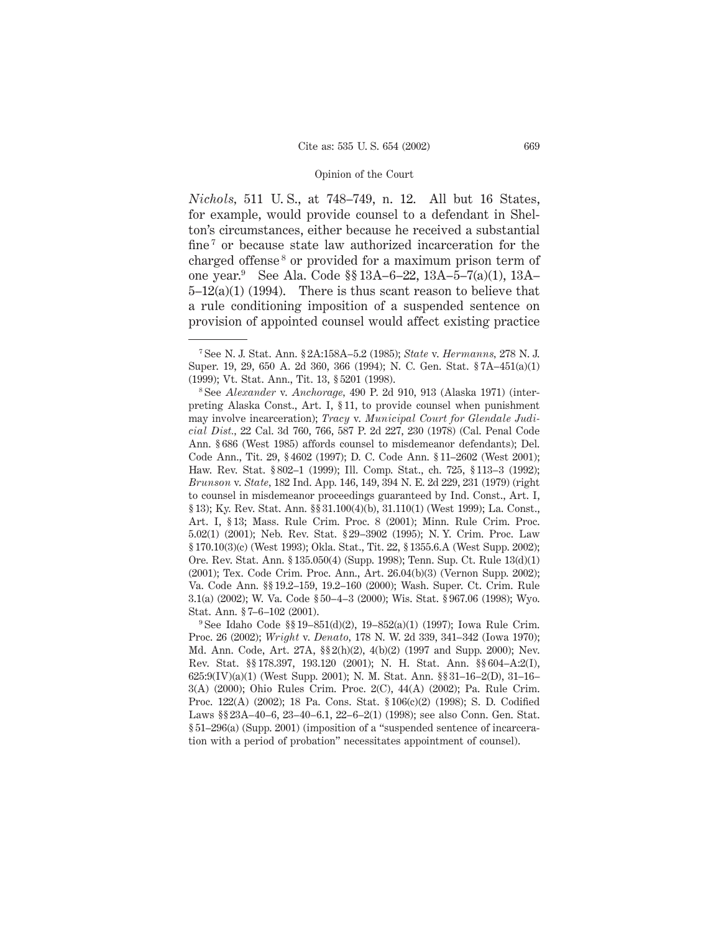*Nichols,* 511 U. S., at 748–749, n. 12. All but 16 States, for example, would provide counsel to a defendant in Shelton's circumstances, either because he received a substantial fine<sup>7</sup> or because state law authorized incarceration for the charged offense <sup>8</sup> or provided for a maximum prison term of one year.9 See Ala. Code §§ 13A–6–22, 13A–5–7(a)(1), 13A–  $5-12(a)(1)$  (1994). There is thus scant reason to believe that a rule conditioning imposition of a suspended sentence on provision of appointed counsel would affect existing practice

<sup>7</sup> See N. J. Stat. Ann. § 2A:158A–5.2 (1985); *State* v. *Hermanns,* 278 N. J. Super. 19, 29, 650 A. 2d 360, 366 (1994); N. C. Gen. Stat. § 7A–451(a)(1) (1999); Vt. Stat. Ann., Tit. 13, § 5201 (1998).

<sup>8</sup> See *Alexander* v. *Anchorage,* 490 P. 2d 910, 913 (Alaska 1971) (interpreting Alaska Const., Art. I, § 11, to provide counsel when punishment may involve incarceration); *Tracy* v. *Municipal Court for Glendale Judicial Dist.,* 22 Cal. 3d 760, 766, 587 P. 2d 227, 230 (1978) (Cal. Penal Code Ann. § 686 (West 1985) affords counsel to misdemeanor defendants); Del. Code Ann., Tit. 29, § 4602 (1997); D. C. Code Ann. § 11–2602 (West 2001); Haw. Rev. Stat. § 802–1 (1999); Ill. Comp. Stat., ch. 725, § 113–3 (1992); *Brunson* v. *State,* 182 Ind. App. 146, 149, 394 N. E. 2d 229, 231 (1979) (right to counsel in misdemeanor proceedings guaranteed by Ind. Const., Art. I, § 13); Ky. Rev. Stat. Ann. §§ 31.100(4)(b), 31.110(1) (West 1999); La. Const., Art. I, § 13; Mass. Rule Crim. Proc. 8 (2001); Minn. Rule Crim. Proc. 5.02(1) (2001); Neb. Rev. Stat. § 29–3902 (1995); N. Y. Crim. Proc. Law § 170.10(3)(c) (West 1993); Okla. Stat., Tit. 22, § 1355.6.A (West Supp. 2002); Ore. Rev. Stat. Ann. § 135.050(4) (Supp. 1998); Tenn. Sup. Ct. Rule 13(d)(1) (2001); Tex. Code Crim. Proc. Ann., Art. 26.04(b)(3) (Vernon Supp. 2002); Va. Code Ann. §§ 19.2–159, 19.2–160 (2000); Wash. Super. Ct. Crim. Rule 3.1(a) (2002); W. Va. Code § 50–4–3 (2000); Wis. Stat. § 967.06 (1998); Wyo. Stat. Ann. § 7–6–102 (2001).

<sup>9</sup> See Idaho Code §§ 19–851(d)(2), 19–852(a)(1) (1997); Iowa Rule Crim. Proc. 26 (2002); *Wright* v. *Denato,* 178 N. W. 2d 339, 341–342 (Iowa 1970); Md. Ann. Code, Art. 27A, §§ 2(h)(2), 4(b)(2) (1997 and Supp. 2000); Nev. Rev. Stat. §§ 178.397, 193.120 (2001); N. H. Stat. Ann. §§ 604–A:2(I), 625:9(IV)(a)(1) (West Supp. 2001); N. M. Stat. Ann. §§ 31–16–2(D), 31–16– 3(A) (2000); Ohio Rules Crim. Proc. 2(C), 44(A) (2002); Pa. Rule Crim. Proc. 122(A) (2002); 18 Pa. Cons. Stat. § 106(c)(2) (1998); S. D. Codified Laws §§ 23A–40–6, 23–40–6.1, 22–6–2(1) (1998); see also Conn. Gen. Stat. § 51–296(a) (Supp. 2001) (imposition of a "suspended sentence of incarceration with a period of probation" necessitates appointment of counsel).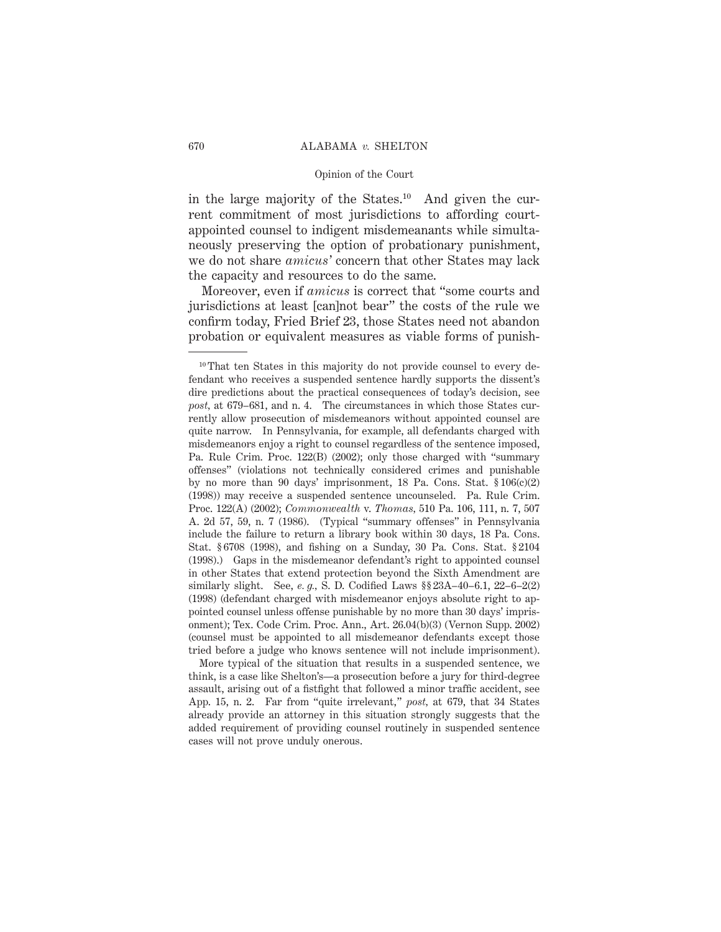in the large majority of the States.<sup>10</sup> And given the current commitment of most jurisdictions to affording courtappointed counsel to indigent misdemeanants while simultaneously preserving the option of probationary punishment, we do not share *amicus'* concern that other States may lack the capacity and resources to do the same.

Moreover, even if *amicus* is correct that "some courts and jurisdictions at least [can]not bear" the costs of the rule we confirm today, Fried Brief 23, those States need not abandon probation or equivalent measures as viable forms of punish-

More typical of the situation that results in a suspended sentence, we think, is a case like Shelton's—a prosecution before a jury for third-degree assault, arising out of a fistfight that followed a minor traffic accident, see App. 15, n. 2. Far from "quite irrelevant," *post,* at 679, that 34 States already provide an attorney in this situation strongly suggests that the added requirement of providing counsel routinely in suspended sentence cases will not prove unduly onerous.

<sup>&</sup>lt;sup>10</sup> That ten States in this majority do not provide counsel to every defendant who receives a suspended sentence hardly supports the dissent's dire predictions about the practical consequences of today's decision, see *post,* at 679–681, and n. 4. The circumstances in which those States currently allow prosecution of misdemeanors without appointed counsel are quite narrow. In Pennsylvania, for example, all defendants charged with misdemeanors enjoy a right to counsel regardless of the sentence imposed, Pa. Rule Crim. Proc. 122(B) (2002); only those charged with "summary offenses" (violations not technically considered crimes and punishable by no more than 90 days' imprisonment, 18 Pa. Cons. Stat. § 106(c)(2) (1998)) may receive a suspended sentence uncounseled. Pa. Rule Crim. Proc. 122(A) (2002); *Commonwealth* v. *Thomas,* 510 Pa. 106, 111, n. 7, 507 A. 2d 57, 59, n. 7 (1986). (Typical "summary offenses" in Pennsylvania include the failure to return a library book within 30 days, 18 Pa. Cons. Stat. § 6708 (1998), and fishing on a Sunday, 30 Pa. Cons. Stat. § 2104 (1998).) Gaps in the misdemeanor defendant's right to appointed counsel in other States that extend protection beyond the Sixth Amendment are similarly slight. See, *e. g.,* S. D. Codified Laws §§ 23A–40–6.1, 22–6–2(2) (1998) (defendant charged with misdemeanor enjoys absolute right to appointed counsel unless offense punishable by no more than 30 days' imprisonment); Tex. Code Crim. Proc. Ann., Art. 26.04(b)(3) (Vernon Supp. 2002) (counsel must be appointed to all misdemeanor defendants except those tried before a judge who knows sentence will not include imprisonment).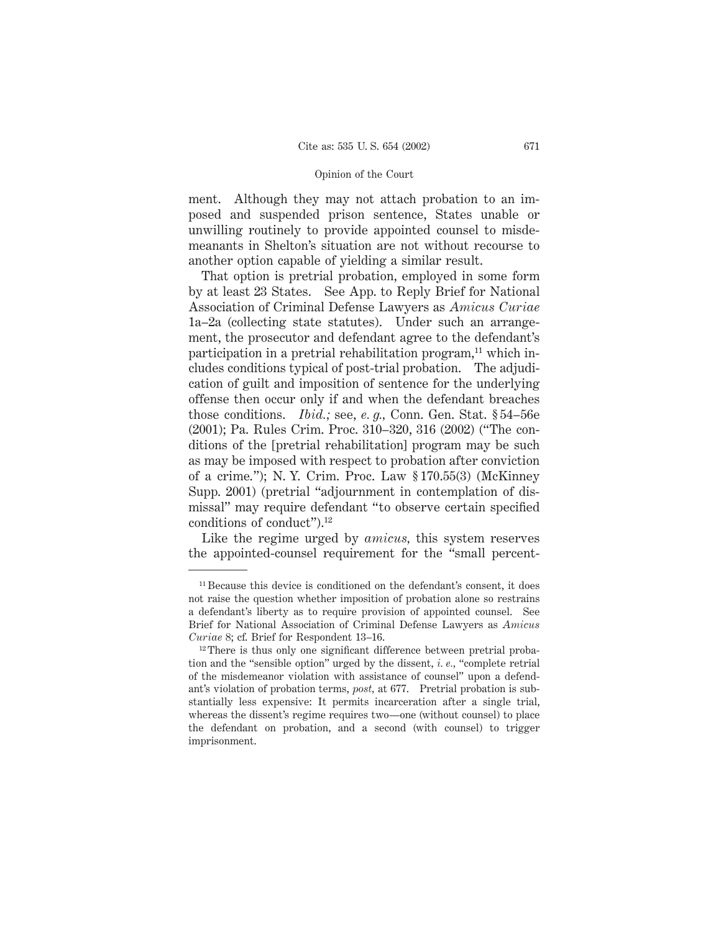ment. Although they may not attach probation to an imposed and suspended prison sentence, States unable or unwilling routinely to provide appointed counsel to misdemeanants in Shelton's situation are not without recourse to another option capable of yielding a similar result.

That option is pretrial probation, employed in some form by at least 23 States. See App. to Reply Brief for National Association of Criminal Defense Lawyers as *Amicus Curiae* 1a–2a (collecting state statutes). Under such an arrangement, the prosecutor and defendant agree to the defendant's participation in a pretrial rehabilitation program, $^{11}$  which includes conditions typical of post-trial probation. The adjudication of guilt and imposition of sentence for the underlying offense then occur only if and when the defendant breaches those conditions. *Ibid.;* see, *e. g.,* Conn. Gen. Stat. § 54–56e (2001); Pa. Rules Crim. Proc. 310–320, 316 (2002) ("The conditions of the [pretrial rehabilitation] program may be such as may be imposed with respect to probation after conviction of a crime."); N. Y. Crim. Proc. Law § 170.55(3) (McKinney Supp. 2001) (pretrial "adjournment in contemplation of dismissal" may require defendant "to observe certain specified conditions of conduct").12

Like the regime urged by *amicus,* this system reserves the appointed-counsel requirement for the "small percent-

<sup>11</sup> Because this device is conditioned on the defendant's consent, it does not raise the question whether imposition of probation alone so restrains a defendant's liberty as to require provision of appointed counsel. See Brief for National Association of Criminal Defense Lawyers as *Amicus Curiae* 8; cf. Brief for Respondent 13–16.

<sup>&</sup>lt;sup>12</sup> There is thus only one significant difference between pretrial probation and the "sensible option" urged by the dissent, *i. e.,* "complete retrial of the misdemeanor violation with assistance of counsel" upon a defendant's violation of probation terms, *post,* at 677. Pretrial probation is substantially less expensive: It permits incarceration after a single trial, whereas the dissent's regime requires two—one (without counsel) to place the defendant on probation, and a second (with counsel) to trigger imprisonment.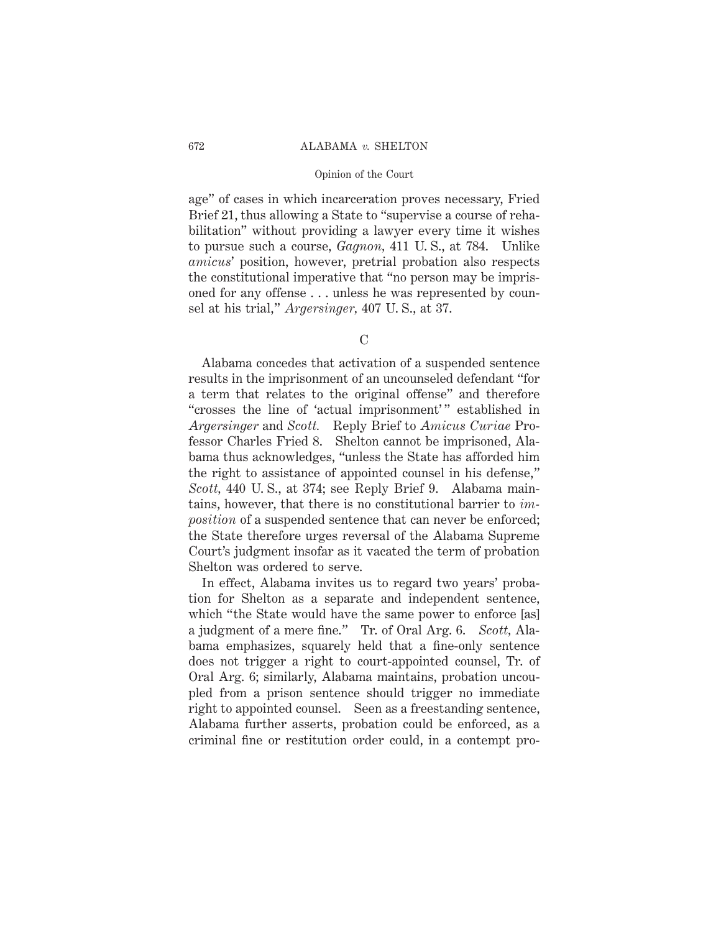### 672 ALABAMA *v.* SHELTON

### Opinion of the Court

age" of cases in which incarceration proves necessary, Fried Brief 21, thus allowing a State to "supervise a course of rehabilitation" without providing a lawyer every time it wishes to pursue such a course, *Gagnon,* 411 U. S., at 784. Unlike *amicus*' position, however, pretrial probation also respects the constitutional imperative that "no person may be imprisoned for any offense . . . unless he was represented by counsel at his trial," *Argersinger,* 407 U. S., at 37.

Alabama concedes that activation of a suspended sentence results in the imprisonment of an uncounseled defendant "for a term that relates to the original offense" and therefore "crosses the line of 'actual imprisonment'" established in *Argersinger* and *Scott.* Reply Brief to *Amicus Curiae* Professor Charles Fried 8. Shelton cannot be imprisoned, Alabama thus acknowledges, "unless the State has afforded him the right to assistance of appointed counsel in his defense," *Scott,* 440 U. S., at 374; see Reply Brief 9. Alabama maintains, however, that there is no constitutional barrier to *imposition* of a suspended sentence that can never be enforced; the State therefore urges reversal of the Alabama Supreme Court's judgment insofar as it vacated the term of probation Shelton was ordered to serve.

In effect, Alabama invites us to regard two years' probation for Shelton as a separate and independent sentence, which "the State would have the same power to enforce [as] a judgment of a mere fine." Tr. of Oral Arg. 6. *Scott,* Alabama emphasizes, squarely held that a fine-only sentence does not trigger a right to court-appointed counsel, Tr. of Oral Arg. 6; similarly, Alabama maintains, probation uncoupled from a prison sentence should trigger no immediate right to appointed counsel. Seen as a freestanding sentence, Alabama further asserts, probation could be enforced, as a criminal fine or restitution order could, in a contempt pro-

 $\Gamma$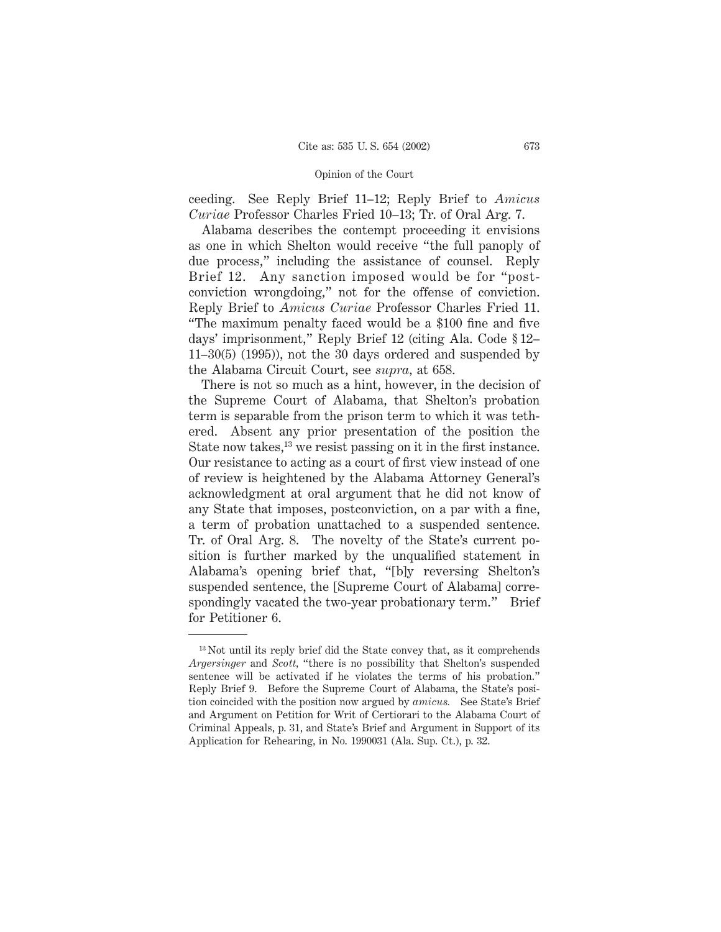ceeding. See Reply Brief 11–12; Reply Brief to *Amicus Curiae* Professor Charles Fried 10–13; Tr. of Oral Arg. 7.

Alabama describes the contempt proceeding it envisions as one in which Shelton would receive "the full panoply of due process," including the assistance of counsel. Reply Brief 12. Any sanction imposed would be for "postconviction wrongdoing," not for the offense of conviction. Reply Brief to *Amicus Curiae* Professor Charles Fried 11. "The maximum penalty faced would be a \$100 fine and five days' imprisonment," Reply Brief 12 (citing Ala. Code § 12– 11–30(5) (1995)), not the 30 days ordered and suspended by the Alabama Circuit Court, see *supra,* at 658.

There is not so much as a hint, however, in the decision of the Supreme Court of Alabama, that Shelton's probation term is separable from the prison term to which it was tethered. Absent any prior presentation of the position the State now takes, $^{13}$  we resist passing on it in the first instance. Our resistance to acting as a court of first view instead of one of review is heightened by the Alabama Attorney General's acknowledgment at oral argument that he did not know of any State that imposes, postconviction, on a par with a fine, a term of probation unattached to a suspended sentence. Tr. of Oral Arg. 8. The novelty of the State's current position is further marked by the unqualified statement in Alabama's opening brief that, "[b]y reversing Shelton's suspended sentence, the [Supreme Court of Alabama] correspondingly vacated the two-year probationary term." Brief for Petitioner 6.

<sup>&</sup>lt;sup>13</sup> Not until its reply brief did the State convey that, as it comprehends *Argersinger* and *Scott,* "there is no possibility that Shelton's suspended sentence will be activated if he violates the terms of his probation." Reply Brief 9. Before the Supreme Court of Alabama, the State's position coincided with the position now argued by *amicus.* See State's Brief and Argument on Petition for Writ of Certiorari to the Alabama Court of Criminal Appeals, p. 31, and State's Brief and Argument in Support of its Application for Rehearing, in No. 1990031 (Ala. Sup. Ct.), p. 32.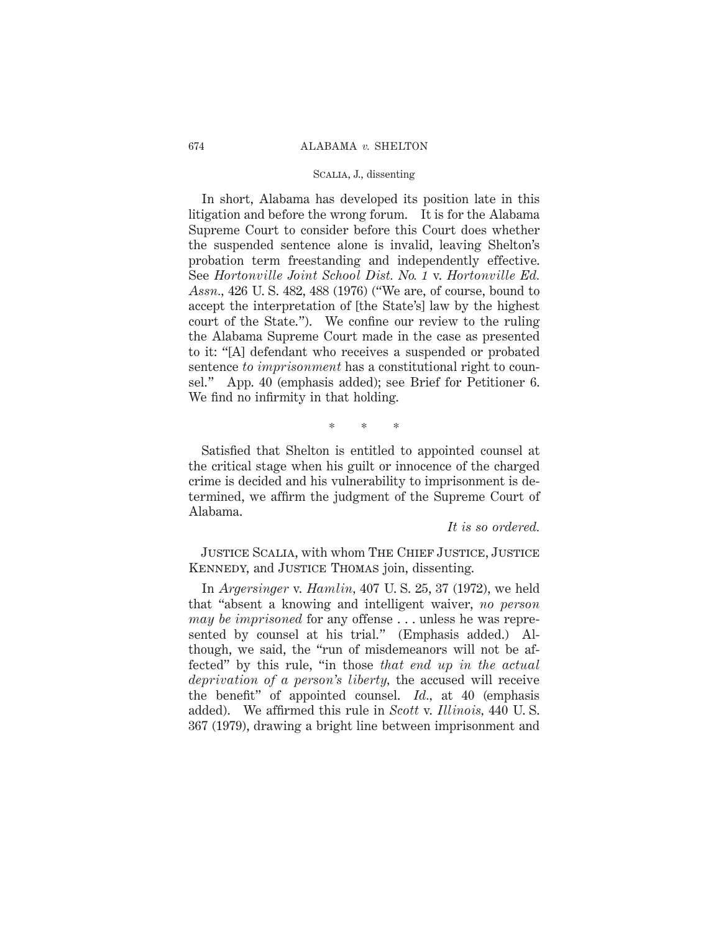In short, Alabama has developed its position late in this litigation and before the wrong forum. It is for the Alabama Supreme Court to consider before this Court does whether the suspended sentence alone is invalid, leaving Shelton's probation term freestanding and independently effective. See *Hortonville Joint School Dist. No. 1* v. *Hortonville Ed. Assn.,* 426 U. S. 482, 488 (1976) ("We are, of course, bound to accept the interpretation of [the State's] law by the highest court of the State."). We confine our review to the ruling the Alabama Supreme Court made in the case as presented to it: "[A] defendant who receives a suspended or probated sentence *to imprisonment* has a constitutional right to counsel." App. 40 (emphasis added); see Brief for Petitioner 6. We find no infirmity in that holding.

\*\*\*

Satisfied that Shelton is entitled to appointed counsel at the critical stage when his guilt or innocence of the charged crime is decided and his vulnerability to imprisonment is determined, we affirm the judgment of the Supreme Court of Alabama.

*It is so ordered.*

JUSTICE SCALIA, with whom THE CHIEF JUSTICE, JUSTICE Kennedy, and Justice Thomas join, dissenting.

In *Argersinger* v. *Hamlin,* 407 U. S. 25, 37 (1972), we held that "absent a knowing and intelligent waiver, *no person may be imprisoned* for any offense . . . unless he was represented by counsel at his trial." (Emphasis added.) Although, we said, the "run of misdemeanors will not be affected" by this rule, "in those *that end up in the actual deprivation of a person's liberty,* the accused will receive the benefit" of appointed counsel. *Id.,* at 40 (emphasis added). We affirmed this rule in *Scott* v. *Illinois,* 440 U. S. 367 (1979), drawing a bright line between imprisonment and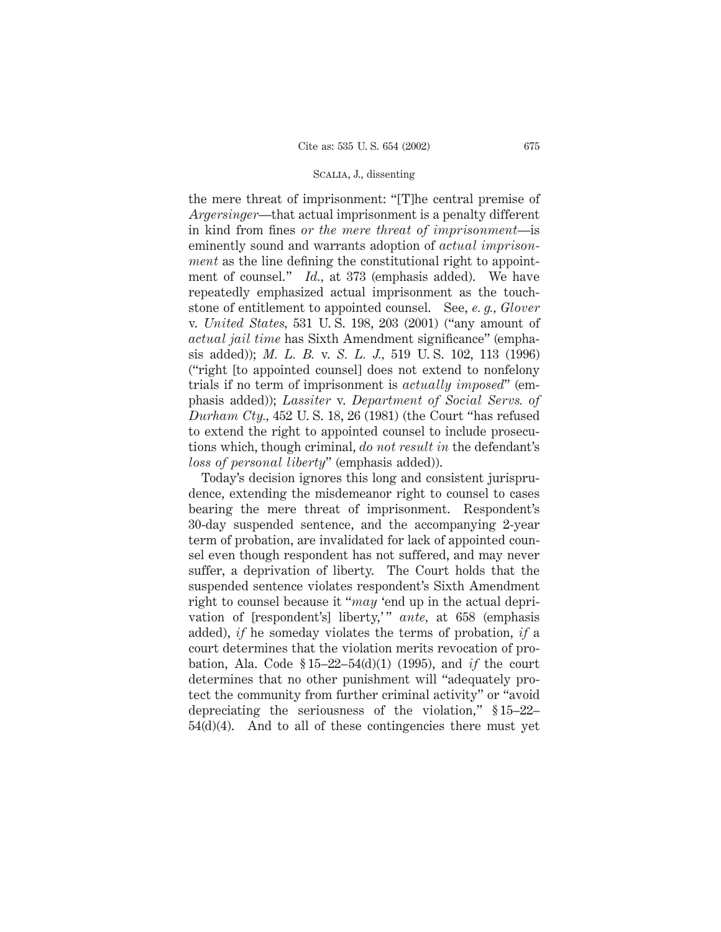the mere threat of imprisonment: "[T]he central premise of *Argersinger*—that actual imprisonment is a penalty different in kind from fines *or the mere threat of imprisonment*—is eminently sound and warrants adoption of *actual imprisonment* as the line defining the constitutional right to appointment of counsel." *Id.,* at 373 (emphasis added). We have repeatedly emphasized actual imprisonment as the touchstone of entitlement to appointed counsel. See, *e. g., Glover* v. *United States,* 531 U. S. 198, 203 (2001) ("any amount of *actual jail time* has Sixth Amendment significance" (emphasis added)); *M. L. B.* v. *S. L. J.,* 519 U. S. 102, 113 (1996) ("right [to appointed counsel] does not extend to nonfelony trials if no term of imprisonment is *actually imposed*" (emphasis added)); *Lassiter* v. *Department of Social Servs. of Durham Cty.,* 452 U. S. 18, 26 (1981) (the Court "has refused to extend the right to appointed counsel to include prosecutions which, though criminal, *do not result in* the defendant's *loss of personal liberty*" (emphasis added)).

Today's decision ignores this long and consistent jurisprudence, extending the misdemeanor right to counsel to cases bearing the mere threat of imprisonment. Respondent's 30-day suspended sentence, and the accompanying 2-year term of probation, are invalidated for lack of appointed counsel even though respondent has not suffered, and may never suffer, a deprivation of liberty. The Court holds that the suspended sentence violates respondent's Sixth Amendment right to counsel because it "*may* 'end up in the actual deprivation of [respondent's] liberty,'" ante, at 658 (emphasis added), *if* he someday violates the terms of probation, *if* a court determines that the violation merits revocation of probation, Ala. Code § 15–22–54(d)(1) (1995), and *if* the court determines that no other punishment will "adequately protect the community from further criminal activity" or "avoid depreciating the seriousness of the violation," § 15–22– 54(d)(4). And to all of these contingencies there must yet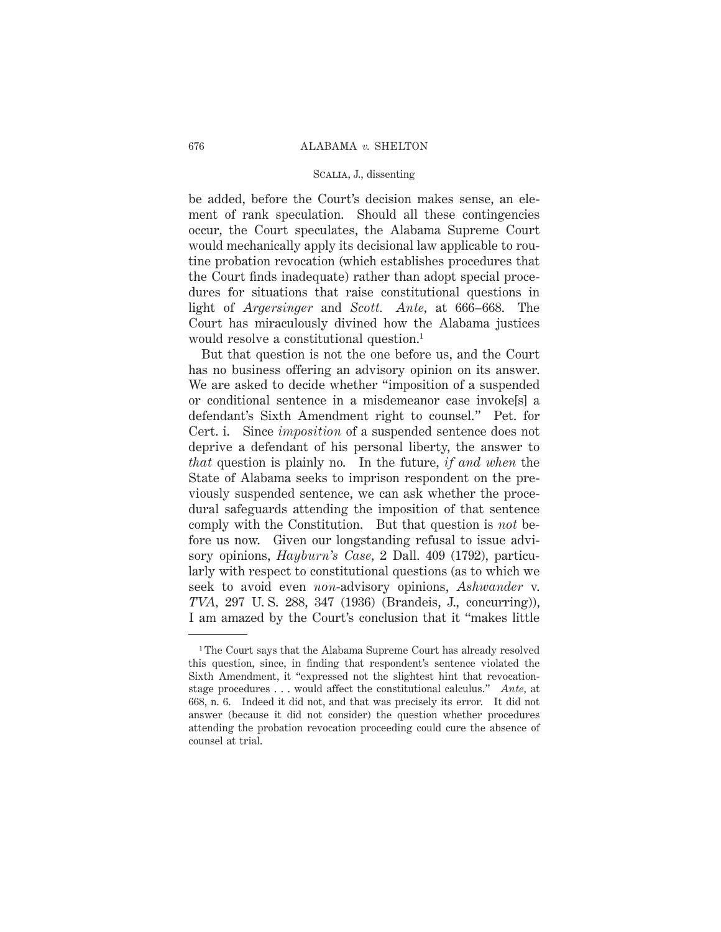be added, before the Court's decision makes sense, an element of rank speculation. Should all these contingencies occur, the Court speculates, the Alabama Supreme Court would mechanically apply its decisional law applicable to routine probation revocation (which establishes procedures that the Court finds inadequate) rather than adopt special procedures for situations that raise constitutional questions in light of *Argersinger* and *Scott. Ante,* at 666–668. The Court has miraculously divined how the Alabama justices would resolve a constitutional question.<sup>1</sup>

But that question is not the one before us, and the Court has no business offering an advisory opinion on its answer. We are asked to decide whether "imposition of a suspended or conditional sentence in a misdemeanor case invoke[s] a defendant's Sixth Amendment right to counsel." Pet. for Cert. i. Since *imposition* of a suspended sentence does not deprive a defendant of his personal liberty, the answer to *that* question is plainly no. In the future, *if and when* the State of Alabama seeks to imprison respondent on the previously suspended sentence, we can ask whether the procedural safeguards attending the imposition of that sentence comply with the Constitution. But that question is *not* before us now. Given our longstanding refusal to issue advisory opinions, *Hayburn's Case,* 2 Dall. 409 (1792), particularly with respect to constitutional questions (as to which we seek to avoid even *non*-advisory opinions, *Ashwander* v. *TVA,* 297 U. S. 288, 347 (1936) (Brandeis, J., concurring)), I am amazed by the Court's conclusion that it "makes little

<sup>&</sup>lt;sup>1</sup>The Court says that the Alabama Supreme Court has already resolved this question, since, in finding that respondent's sentence violated the Sixth Amendment, it "expressed not the slightest hint that revocationstage procedures . . . would affect the constitutional calculus." *Ante,* at 668, n. 6. Indeed it did not, and that was precisely its error. It did not answer (because it did not consider) the question whether procedures attending the probation revocation proceeding could cure the absence of counsel at trial.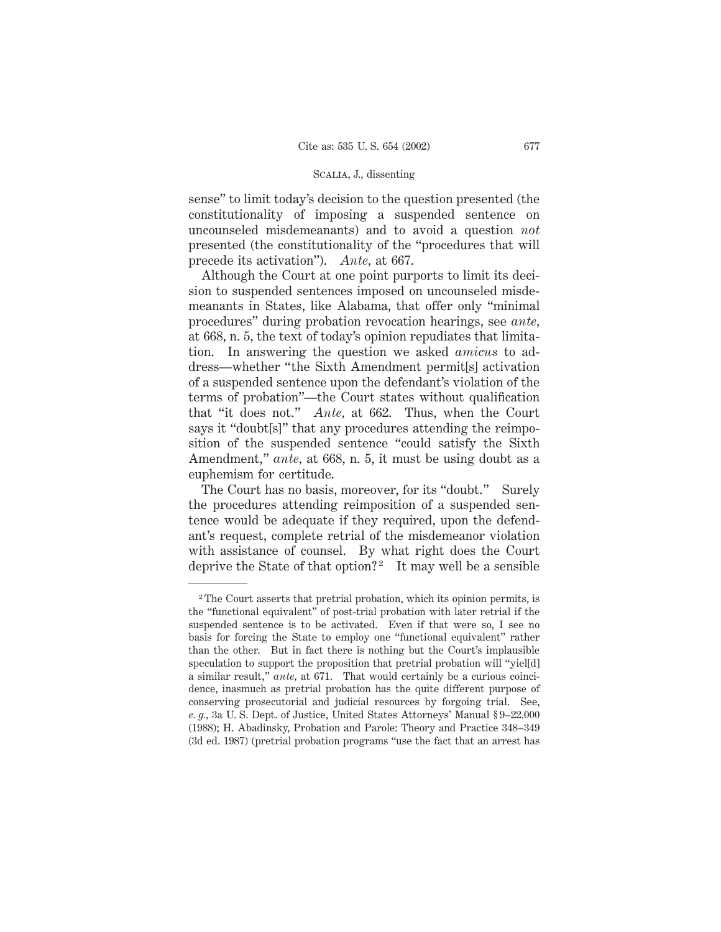sense" to limit today's decision to the question presented (the constitutionality of imposing a suspended sentence on uncounseled misdemeanants) and to avoid a question *not* presented (the constitutionality of the "procedures that will precede its activation"). *Ante,* at 667.

Although the Court at one point purports to limit its decision to suspended sentences imposed on uncounseled misdemeanants in States, like Alabama, that offer only "minimal procedures" during probation revocation hearings, see *ante,* at 668, n. 5, the text of today's opinion repudiates that limitation. In answering the question we asked *amicus* to address—whether "the Sixth Amendment permit[s] activation of a suspended sentence upon the defendant's violation of the terms of probation"—the Court states without qualification that "it does not." *Ante,* at 662. Thus, when the Court says it "doubt<sup>[s]"</sup> that any procedures attending the reimposition of the suspended sentence "could satisfy the Sixth Amendment," *ante,* at 668, n. 5, it must be using doubt as a euphemism for certitude.

The Court has no basis, moreover, for its "doubt." Surely the procedures attending reimposition of a suspended sentence would be adequate if they required, upon the defendant's request, complete retrial of the misdemeanor violation with assistance of counsel. By what right does the Court deprive the State of that option?<sup>2</sup> It may well be a sensible

<sup>2</sup> The Court asserts that pretrial probation, which its opinion permits, is the "functional equivalent" of post-trial probation with later retrial if the suspended sentence is to be activated. Even if that were so, I see no basis for forcing the State to employ one "functional equivalent" rather than the other. But in fact there is nothing but the Court's implausible speculation to support the proposition that pretrial probation will "yiel[d] a similar result," *ante,* at 671. That would certainly be a curious coincidence, inasmuch as pretrial probation has the quite different purpose of conserving prosecutorial and judicial resources by forgoing trial. See, *e. g.,* 3a U. S. Dept. of Justice, United States Attorneys' Manual § 9–22.000 (1988); H. Abadinsky, Probation and Parole: Theory and Practice 348–349 (3d ed. 1987) (pretrial probation programs "use the fact that an arrest has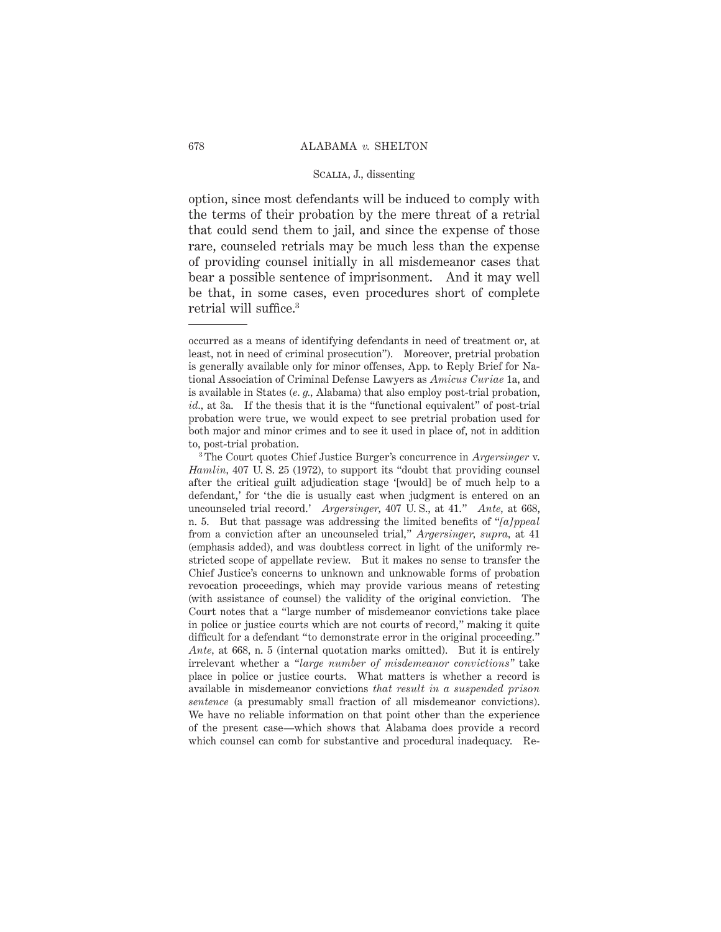option, since most defendants will be induced to comply with the terms of their probation by the mere threat of a retrial that could send them to jail, and since the expense of those rare, counseled retrials may be much less than the expense of providing counsel initially in all misdemeanor cases that bear a possible sentence of imprisonment. And it may well be that, in some cases, even procedures short of complete retrial will suffice.3

occurred as a means of identifying defendants in need of treatment or, at least, not in need of criminal prosecution"). Moreover, pretrial probation is generally available only for minor offenses, App. to Reply Brief for National Association of Criminal Defense Lawyers as *Amicus Curiae* 1a, and is available in States (*e. g.,* Alabama) that also employ post-trial probation, *id.,* at 3a. If the thesis that it is the "functional equivalent" of post-trial probation were true, we would expect to see pretrial probation used for both major and minor crimes and to see it used in place of, not in addition to, post-trial probation.

<sup>3</sup> The Court quotes Chief Justice Burger's concurrence in *Argersinger* v. *Hamlin,* 407 U. S. 25 (1972), to support its "doubt that providing counsel after the critical guilt adjudication stage '[would] be of much help to a defendant,' for 'the die is usually cast when judgment is entered on an uncounseled trial record.' *Argersinger,* 407 U. S., at 41." *Ante,* at 668, n. 5. But that passage was addressing the limited benefits of "*[a]ppeal* from a conviction after an uncounseled trial," *Argersinger, supra,* at 41 (emphasis added), and was doubtless correct in light of the uniformly restricted scope of appellate review. But it makes no sense to transfer the Chief Justice's concerns to unknown and unknowable forms of probation revocation proceedings, which may provide various means of retesting (with assistance of counsel) the validity of the original conviction. The Court notes that a "large number of misdemeanor convictions take place in police or justice courts which are not courts of record," making it quite difficult for a defendant "to demonstrate error in the original proceeding." *Ante,* at 668, n. 5 (internal quotation marks omitted). But it is entirely irrelevant whether a *"large number of misdemeanor convictions"* take place in police or justice courts. What matters is whether a record is available in misdemeanor convictions *that result in a suspended prison sentence* (a presumably small fraction of all misdemeanor convictions). We have no reliable information on that point other than the experience of the present case—which shows that Alabama does provide a record which counsel can comb for substantive and procedural inadequacy. Re-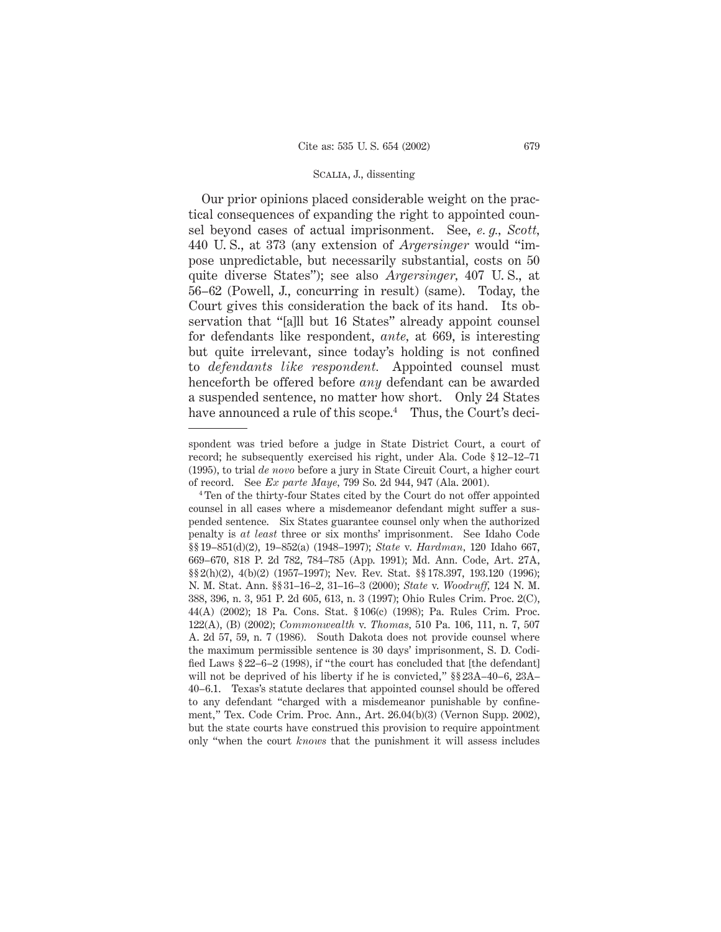Our prior opinions placed considerable weight on the practical consequences of expanding the right to appointed counsel beyond cases of actual imprisonment. See, *e. g., Scott,* 440 U. S., at 373 (any extension of *Argersinger* would "impose unpredictable, but necessarily substantial, costs on 50 quite diverse States"); see also *Argersinger,* 407 U. S., at 56–62 (Powell, J., concurring in result) (same). Today, the Court gives this consideration the back of its hand. Its observation that "[a]ll but 16 States" already appoint counsel for defendants like respondent, *ante,* at 669, is interesting but quite irrelevant, since today's holding is not confined to *defendants like respondent.* Appointed counsel must henceforth be offered before *any* defendant can be awarded a suspended sentence, no matter how short. Only 24 States have announced a rule of this scope.<sup>4</sup> Thus, the Court's deci-

spondent was tried before a judge in State District Court, a court of record; he subsequently exercised his right, under Ala. Code § 12–12–71 (1995), to trial *de novo* before a jury in State Circuit Court, a higher court of record. See *Ex parte Maye,* 799 So. 2d 944, 947 (Ala. 2001).

<sup>4</sup> Ten of the thirty-four States cited by the Court do not offer appointed counsel in all cases where a misdemeanor defendant might suffer a suspended sentence. Six States guarantee counsel only when the authorized penalty is *at least* three or six months' imprisonment. See Idaho Code §§ 19–851(d)(2), 19–852(a) (1948–1997); *State* v. *Hardman,* 120 Idaho 667, 669–670, 818 P. 2d 782, 784–785 (App. 1991); Md. Ann. Code, Art. 27A, §§ 2(h)(2), 4(b)(2) (1957–1997); Nev. Rev. Stat. §§ 178.397, 193.120 (1996); N. M. Stat. Ann. §§ 31–16–2, 31–16–3 (2000); *State* v. *Woodruff,* 124 N. M. 388, 396, n. 3, 951 P. 2d 605, 613, n. 3 (1997); Ohio Rules Crim. Proc. 2(C), 44(A) (2002); 18 Pa. Cons. Stat. § 106(c) (1998); Pa. Rules Crim. Proc. 122(A), (B) (2002); *Commonwealth* v. *Thomas,* 510 Pa. 106, 111, n. 7, 507 A. 2d 57, 59, n. 7 (1986). South Dakota does not provide counsel where the maximum permissible sentence is 30 days' imprisonment, S. D. Codified Laws § 22–6–2 (1998), if "the court has concluded that [the defendant] will not be deprived of his liberty if he is convicted," §§ 23A–40–6, 23A– 40–6.1. Texas's statute declares that appointed counsel should be offered to any defendant "charged with a misdemeanor punishable by confinement," Tex. Code Crim. Proc. Ann., Art. 26.04(b)(3) (Vernon Supp. 2002), but the state courts have construed this provision to require appointment only "when the court *knows* that the punishment it will assess includes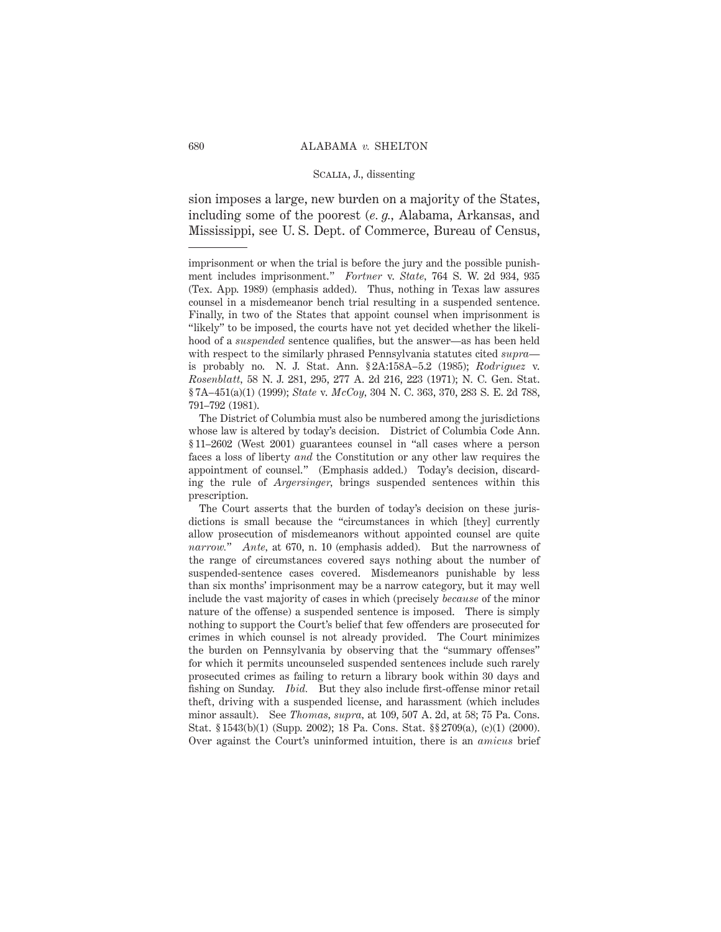sion imposes a large, new burden on a majority of the States, including some of the poorest (*e. g.,* Alabama, Arkansas, and Mississippi, see U. S. Dept. of Commerce, Bureau of Census,

imprisonment or when the trial is before the jury and the possible punishment includes imprisonment." *Fortner* v. *State,* 764 S. W. 2d 934, 935 (Tex. App. 1989) (emphasis added). Thus, nothing in Texas law assures counsel in a misdemeanor bench trial resulting in a suspended sentence. Finally, in two of the States that appoint counsel when imprisonment is "likely" to be imposed, the courts have not yet decided whether the likelihood of a *suspended* sentence qualifies, but the answer—as has been held with respect to the similarly phrased Pennsylvania statutes cited *supra* is probably no. N. J. Stat. Ann. § 2A:158A–5.2 (1985); *Rodriguez* v. *Rosenblatt,* 58 N. J. 281, 295, 277 A. 2d 216, 223 (1971); N. C. Gen. Stat. § 7A–451(a)(1) (1999); *State* v. *McCoy,* 304 N. C. 363, 370, 283 S. E. 2d 788, 791–792 (1981).

The District of Columbia must also be numbered among the jurisdictions whose law is altered by today's decision. District of Columbia Code Ann. § 11–2602 (West 2001) guarantees counsel in "all cases where a person faces a loss of liberty *and* the Constitution or any other law requires the appointment of counsel." (Emphasis added.) Today's decision, discarding the rule of *Argersinger,* brings suspended sentences within this prescription.

The Court asserts that the burden of today's decision on these jurisdictions is small because the "circumstances in which [they] currently allow prosecution of misdemeanors without appointed counsel are quite *narrow.*" *Ante,* at 670, n. 10 (emphasis added). But the narrowness of the range of circumstances covered says nothing about the number of suspended-sentence cases covered. Misdemeanors punishable by less than six months' imprisonment may be a narrow category, but it may well include the vast majority of cases in which (precisely *because* of the minor nature of the offense) a suspended sentence is imposed. There is simply nothing to support the Court's belief that few offenders are prosecuted for crimes in which counsel is not already provided. The Court minimizes the burden on Pennsylvania by observing that the "summary offenses" for which it permits uncounseled suspended sentences include such rarely prosecuted crimes as failing to return a library book within 30 days and fishing on Sunday. *Ibid.* But they also include first-offense minor retail theft, driving with a suspended license, and harassment (which includes minor assault). See *Thomas, supra,* at 109, 507 A. 2d, at 58; 75 Pa. Cons. Stat. § 1543(b)(1) (Supp. 2002); 18 Pa. Cons. Stat. §§ 2709(a), (c)(1) (2000). Over against the Court's uninformed intuition, there is an *amicus* brief